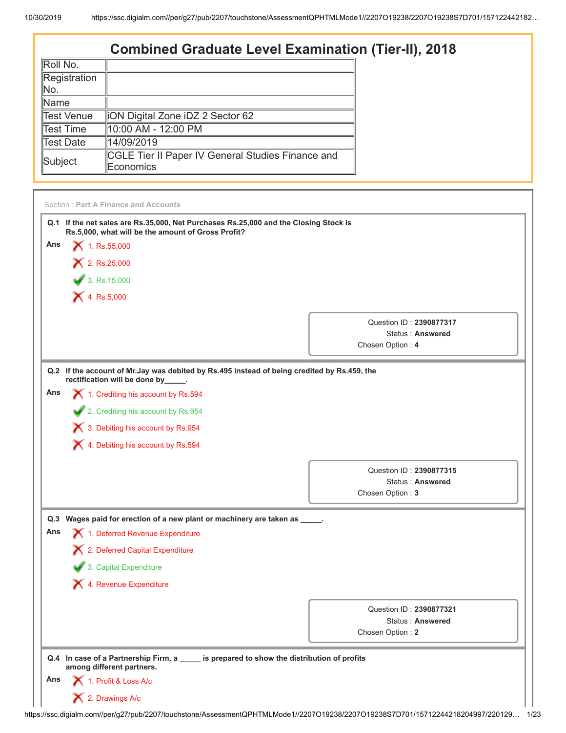## **Combined Graduate Level Examination (Tier-II), 2018**

| liON Digital Zone iDZ 2 Sector 62                 |
|---------------------------------------------------|
| ∥10:00 AM - 12:00 PM                              |
| 14/09/2019                                        |
| CGLE Tier II Paper IV General Studies Finance and |
| Economics                                         |
|                                                   |

|     | Q.1 If the net sales are Rs.35,000, Net Purchases Rs.25,000 and the Closing Stock is<br>Rs.5,000, what will be the amount of Gross Profit? |                         |
|-----|--------------------------------------------------------------------------------------------------------------------------------------------|-------------------------|
| Ans | $X$ 1. Rs.55,000                                                                                                                           |                         |
|     | $X$ 2. Rs.25,000                                                                                                                           |                         |
|     | $\frac{1}{3}$ . Rs.15,000                                                                                                                  |                         |
|     | $X$ 4. Rs.5,000                                                                                                                            |                         |
|     |                                                                                                                                            | Question ID: 2390877317 |
|     |                                                                                                                                            | <b>Status: Answered</b> |
|     |                                                                                                                                            | Chosen Option: 4        |
|     | Q.2 If the account of Mr. Jay was debited by Rs. 495 instead of being credited by Rs. 459, the                                             |                         |
| Ans | rectification will be done by_____.<br>1. Crediting his account by Rs.594                                                                  |                         |
|     | 2. Crediting his account by Rs.954                                                                                                         |                         |
|     | X 3. Debiting his account by Rs.954                                                                                                        |                         |
|     |                                                                                                                                            |                         |
|     | X 4. Debiting his account by Rs.594                                                                                                        |                         |
|     |                                                                                                                                            | Question ID: 2390877315 |
|     |                                                                                                                                            | <b>Status: Answered</b> |
|     |                                                                                                                                            | Chosen Option: 3        |
| Q.3 | Wages paid for erection of a new plant or machinery are taken as ____.                                                                     |                         |
| Ans | 1. Deferred Revenue Expenditure                                                                                                            |                         |
|     | X 2. Deferred Capital Expenditure                                                                                                          |                         |
|     | 3. Capital Expenditure                                                                                                                     |                         |
|     | 4. Revenue Expenditure                                                                                                                     |                         |
|     |                                                                                                                                            | Question ID: 2390877321 |
|     |                                                                                                                                            | <b>Status: Answered</b> |
|     |                                                                                                                                            | Chosen Option: 2        |
|     | Q.4 In case of a Partnership Firm, a _____ is prepared to show the distribution of profits<br>among different partners.                    |                         |
|     |                                                                                                                                            |                         |
| Ans | 1. Profit & Loss A/c                                                                                                                       |                         |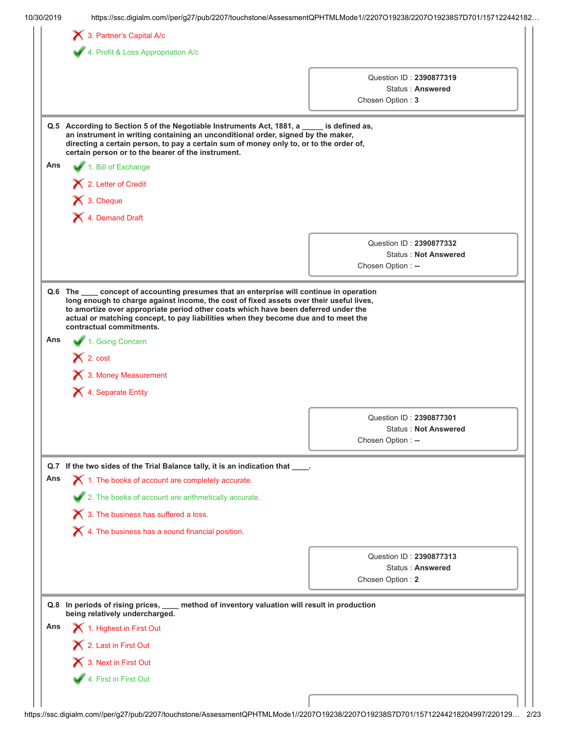| 10/30/2019 | https://ssc.digialm.com//per/g27/pub/2207/touchstone/AssessmentQPHTMLMode1//2207O19238/2207O19238S7D701/157122442182                                                                                                                                                                                           |                    |                                                        |
|------------|----------------------------------------------------------------------------------------------------------------------------------------------------------------------------------------------------------------------------------------------------------------------------------------------------------------|--------------------|--------------------------------------------------------|
|            | 3. Partner's Capital A/c                                                                                                                                                                                                                                                                                       |                    |                                                        |
|            | 4. Profit & Loss Appropriation A/c                                                                                                                                                                                                                                                                             |                    |                                                        |
|            |                                                                                                                                                                                                                                                                                                                |                    |                                                        |
|            |                                                                                                                                                                                                                                                                                                                |                    | Question ID: 2390877319<br>Status: Answered            |
|            |                                                                                                                                                                                                                                                                                                                | Chosen Option: 3   |                                                        |
|            |                                                                                                                                                                                                                                                                                                                |                    |                                                        |
|            | Q.5 According to Section 5 of the Negotiable Instruments Act, 1881, a ____<br>an instrument in writing containing an unconditional order, signed by the maker,<br>directing a certain person, to pay a certain sum of money only to, or to the order of,<br>certain person or to the bearer of the instrument. | is defined as,     |                                                        |
| Ans        | 1. Bill of Exchange                                                                                                                                                                                                                                                                                            |                    |                                                        |
|            | 2. Letter of Credit                                                                                                                                                                                                                                                                                            |                    |                                                        |
|            | $\blacktriangleright$ 3. Cheque                                                                                                                                                                                                                                                                                |                    |                                                        |
|            | X 4. Demand Draft                                                                                                                                                                                                                                                                                              |                    |                                                        |
|            |                                                                                                                                                                                                                                                                                                                |                    |                                                        |
|            |                                                                                                                                                                                                                                                                                                                |                    | Question ID: 2390877332                                |
|            |                                                                                                                                                                                                                                                                                                                | Chosen Option: --  | <b>Status: Not Answered</b>                            |
|            |                                                                                                                                                                                                                                                                                                                |                    |                                                        |
| Ans        | actual or matching concept, to pay liabilities when they become due and to meet the<br>contractual commitments.<br>1. Going Concern                                                                                                                                                                            |                    |                                                        |
|            | $\bigtimes$ 2. cost<br>3. Money Measurement                                                                                                                                                                                                                                                                    |                    |                                                        |
|            | X 4. Separate Entity                                                                                                                                                                                                                                                                                           |                    |                                                        |
|            |                                                                                                                                                                                                                                                                                                                |                    |                                                        |
|            |                                                                                                                                                                                                                                                                                                                |                    | Question ID: 2390877301<br><b>Status: Not Answered</b> |
|            |                                                                                                                                                                                                                                                                                                                | Chosen Option : -- |                                                        |
|            |                                                                                                                                                                                                                                                                                                                |                    |                                                        |
|            | Q.7 If the two sides of the Trial Balance tally, it is an indication that ____.                                                                                                                                                                                                                                |                    |                                                        |
| Ans        | $\blacktriangleright$ 1. The books of account are completely accurate.                                                                                                                                                                                                                                         |                    |                                                        |
|            | 2. The books of account are arithmetically accurate.                                                                                                                                                                                                                                                           |                    |                                                        |
|            | $\bigtimes$ 3. The business has suffered a loss.                                                                                                                                                                                                                                                               |                    |                                                        |
|            | $\blacktriangleright$ 4. The business has a sound financial position.                                                                                                                                                                                                                                          |                    |                                                        |
|            |                                                                                                                                                                                                                                                                                                                |                    |                                                        |
|            |                                                                                                                                                                                                                                                                                                                |                    | Question ID: 2390877313<br>Status: Answered            |
|            |                                                                                                                                                                                                                                                                                                                | Chosen Option: 2   |                                                        |
|            | method of inventory valuation will result in production<br>Q.8 In periods of rising prices, ____<br>being relatively undercharged.                                                                                                                                                                             |                    |                                                        |
| Ans        | 1. Highest in First Out                                                                                                                                                                                                                                                                                        |                    |                                                        |
|            | 2. Last in First Out                                                                                                                                                                                                                                                                                           |                    |                                                        |
|            | 3. Next in First Out                                                                                                                                                                                                                                                                                           |                    |                                                        |
|            | 4. First in First Out                                                                                                                                                                                                                                                                                          |                    |                                                        |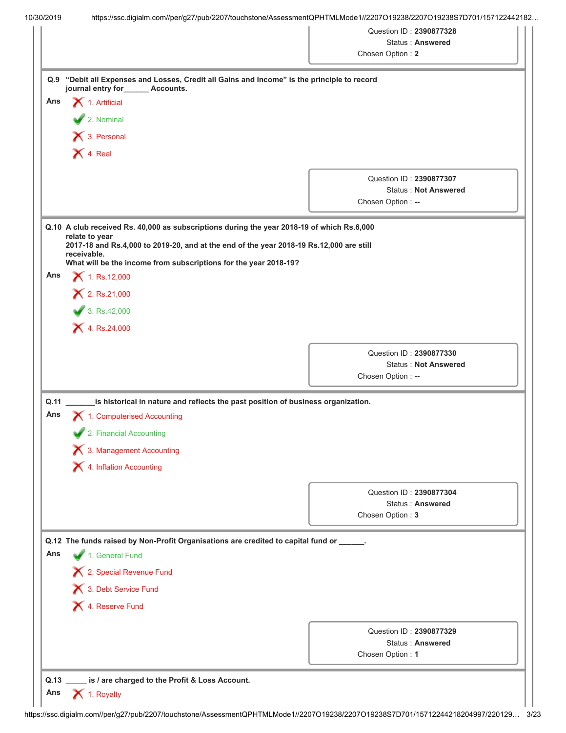|             |                                                                                                                                  | Chosen Option: 2                                       |
|-------------|----------------------------------------------------------------------------------------------------------------------------------|--------------------------------------------------------|
| Q.9         | "Debit all Expenses and Losses, Credit all Gains and Income" is the principle to record<br>journal entry for<br>______ Accounts. |                                                        |
| Ans         | $\blacktriangleright$ 1. Artificial                                                                                              |                                                        |
|             | 2. Nominal                                                                                                                       |                                                        |
|             | X 3. Personal                                                                                                                    |                                                        |
|             | $\blacktriangleright$ 4. Real                                                                                                    |                                                        |
|             |                                                                                                                                  |                                                        |
|             |                                                                                                                                  | Question ID: 2390877307                                |
|             |                                                                                                                                  | <b>Status: Not Answered</b><br>Chosen Option: --       |
|             |                                                                                                                                  |                                                        |
|             | Q.10 A club received Rs. 40,000 as subscriptions during the year 2018-19 of which Rs.6,000                                       |                                                        |
|             | relate to year<br>2017-18 and Rs.4,000 to 2019-20, and at the end of the year 2018-19 Rs.12,000 are still                        |                                                        |
|             | receivable.<br>What will be the income from subscriptions for the year 2018-19?                                                  |                                                        |
| Ans         | $X$ 1. Rs.12,000                                                                                                                 |                                                        |
|             | $X$ 2. Rs.21,000                                                                                                                 |                                                        |
|             | 3. Rs.42,000                                                                                                                     |                                                        |
|             | $X$ 4. Rs.24,000                                                                                                                 |                                                        |
|             |                                                                                                                                  |                                                        |
|             |                                                                                                                                  | Question ID: 2390877330<br><b>Status: Not Answered</b> |
|             |                                                                                                                                  | Chosen Option: --                                      |
|             |                                                                                                                                  |                                                        |
| Q.11<br>Ans | is historical in nature and reflects the past position of business organization.<br>1. Computerised Accounting                   |                                                        |
|             | 2. Financial Accounting                                                                                                          |                                                        |
|             | 3. Management Accounting                                                                                                         |                                                        |
|             | X 4. Inflation Accounting                                                                                                        |                                                        |
|             |                                                                                                                                  |                                                        |
|             |                                                                                                                                  | Question ID: 2390877304                                |
|             |                                                                                                                                  | <b>Status: Answered</b>                                |
|             |                                                                                                                                  | Chosen Option: 3                                       |
|             | Q.12 The funds raised by Non-Profit Organisations are credited to capital fund or _____.                                         |                                                        |
| Ans         | 1. General Fund                                                                                                                  |                                                        |
|             | X 2. Special Revenue Fund                                                                                                        |                                                        |
|             | 13. Debt Service Fund                                                                                                            |                                                        |
|             | X 4. Reserve Fund                                                                                                                |                                                        |
|             |                                                                                                                                  |                                                        |
|             |                                                                                                                                  | Question ID: 2390877329<br><b>Status: Answered</b>     |
|             |                                                                                                                                  | Chosen Option: 1                                       |
|             |                                                                                                                                  |                                                        |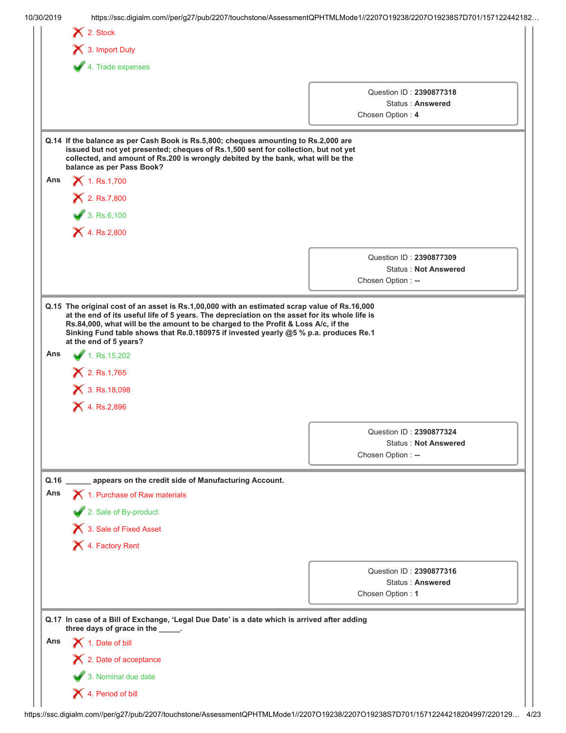|      | $\bigtimes$ 2. Stock                                                                                                                                                                                                                                                                       |                                                                                      |
|------|--------------------------------------------------------------------------------------------------------------------------------------------------------------------------------------------------------------------------------------------------------------------------------------------|--------------------------------------------------------------------------------------|
|      | 13. Import Duty                                                                                                                                                                                                                                                                            |                                                                                      |
|      | 4. Trade expenses                                                                                                                                                                                                                                                                          |                                                                                      |
|      |                                                                                                                                                                                                                                                                                            |                                                                                      |
|      |                                                                                                                                                                                                                                                                                            | Question ID: 2390877318<br>Status: Answered                                          |
|      |                                                                                                                                                                                                                                                                                            | Chosen Option: 4                                                                     |
|      |                                                                                                                                                                                                                                                                                            |                                                                                      |
|      | Q.14 If the balance as per Cash Book is Rs.5,800; cheques amounting to Rs.2,000 are<br>issued but not yet presented; cheques of Rs.1,500 sent for collection, but not yet<br>collected, and amount of Rs.200 is wrongly debited by the bank, what will be the<br>balance as per Pass Book? |                                                                                      |
| Ans  | $X$ 1. Rs.1,700                                                                                                                                                                                                                                                                            |                                                                                      |
|      | <b>X</b> 2. Rs.7,800                                                                                                                                                                                                                                                                       |                                                                                      |
|      | 3. Rs.6,100                                                                                                                                                                                                                                                                                |                                                                                      |
|      | $X$ 4. Rs.2,800                                                                                                                                                                                                                                                                            |                                                                                      |
|      |                                                                                                                                                                                                                                                                                            |                                                                                      |
|      |                                                                                                                                                                                                                                                                                            | Question ID: 2390877309                                                              |
|      |                                                                                                                                                                                                                                                                                            | <b>Status: Not Answered</b><br>Chosen Option: --                                     |
|      |                                                                                                                                                                                                                                                                                            |                                                                                      |
| Ans  | at the end of 5 years?<br>1. Rs. 15, 202<br>2. Rs.1,765                                                                                                                                                                                                                                    | Sinking Fund table shows that Re.0.180975 if invested yearly @5 % p.a. produces Re.1 |
|      | 3. Rs. 18,098<br>$X$ 4. Rs.2,896                                                                                                                                                                                                                                                           |                                                                                      |
|      |                                                                                                                                                                                                                                                                                            |                                                                                      |
|      |                                                                                                                                                                                                                                                                                            | Question ID: 2390877324<br><b>Status: Not Answered</b>                               |
|      |                                                                                                                                                                                                                                                                                            | Chosen Option: --                                                                    |
|      |                                                                                                                                                                                                                                                                                            |                                                                                      |
| Q.16 | appears on the credit side of Manufacturing Account.                                                                                                                                                                                                                                       |                                                                                      |
| Ans  | 1. Purchase of Raw materials                                                                                                                                                                                                                                                               |                                                                                      |
|      | 2. Sale of By-product                                                                                                                                                                                                                                                                      |                                                                                      |
|      | 3. Sale of Fixed Asset                                                                                                                                                                                                                                                                     |                                                                                      |
|      | X 4. Factory Rent                                                                                                                                                                                                                                                                          |                                                                                      |
|      |                                                                                                                                                                                                                                                                                            | Question ID: 2390877316<br>Status: Answered<br>Chosen Option: 1                      |
|      | Q.17 In case of a Bill of Exchange, 'Legal Due Date' is a date which is arrived after adding                                                                                                                                                                                               |                                                                                      |
| Ans  | three days of grace in the _____.                                                                                                                                                                                                                                                          |                                                                                      |
|      | 1. Date of bill                                                                                                                                                                                                                                                                            |                                                                                      |
|      | 2. Date of acceptance<br>3. Nominal due date                                                                                                                                                                                                                                               |                                                                                      |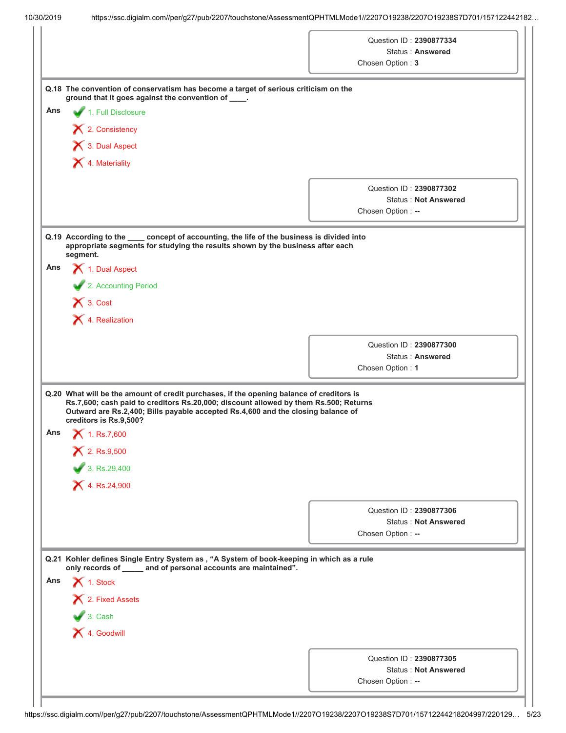|     |                                                                                                                                                                                                                                                                                                | Question ID: 2390877334                                |
|-----|------------------------------------------------------------------------------------------------------------------------------------------------------------------------------------------------------------------------------------------------------------------------------------------------|--------------------------------------------------------|
|     |                                                                                                                                                                                                                                                                                                |                                                        |
|     |                                                                                                                                                                                                                                                                                                | Status: Answered                                       |
|     |                                                                                                                                                                                                                                                                                                | Chosen Option: 3                                       |
|     | Q.18 The convention of conservatism has become a target of serious criticism on the<br>ground that it goes against the convention of ____.                                                                                                                                                     |                                                        |
| Ans | 1. Full Disclosure                                                                                                                                                                                                                                                                             |                                                        |
|     | X 2. Consistency                                                                                                                                                                                                                                                                               |                                                        |
|     | 1 3. Dual Aspect                                                                                                                                                                                                                                                                               |                                                        |
|     | X 4. Materiality                                                                                                                                                                                                                                                                               |                                                        |
|     |                                                                                                                                                                                                                                                                                                |                                                        |
|     |                                                                                                                                                                                                                                                                                                | Question ID: 2390877302                                |
|     |                                                                                                                                                                                                                                                                                                | <b>Status: Not Answered</b><br>Chosen Option: --       |
|     |                                                                                                                                                                                                                                                                                                |                                                        |
|     | Q.19 According to the ____ concept of accounting, the life of the business is divided into<br>appropriate segments for studying the results shown by the business after each<br>segment.                                                                                                       |                                                        |
| Ans | 1. Dual Aspect                                                                                                                                                                                                                                                                                 |                                                        |
|     | 2. Accounting Period                                                                                                                                                                                                                                                                           |                                                        |
|     | $\bigtimes$ 3. Cost                                                                                                                                                                                                                                                                            |                                                        |
|     | X 4. Realization                                                                                                                                                                                                                                                                               |                                                        |
|     |                                                                                                                                                                                                                                                                                                |                                                        |
|     |                                                                                                                                                                                                                                                                                                |                                                        |
|     |                                                                                                                                                                                                                                                                                                | Question ID: 2390877300                                |
|     |                                                                                                                                                                                                                                                                                                | Status: Answered                                       |
|     |                                                                                                                                                                                                                                                                                                | Chosen Option: 1                                       |
| Ans | Q.20 What will be the amount of credit purchases, if the opening balance of creditors is<br>Rs.7,600; cash paid to creditors Rs.20,000; discount allowed by them Rs.500; Returns<br>Outward are Rs.2,400; Bills payable accepted Rs.4,600 and the closing balance of<br>creditors is Rs.9,500? |                                                        |
|     | $X$ 1. Rs.7,600                                                                                                                                                                                                                                                                                |                                                        |
|     | $X$ 2. Rs.9,500                                                                                                                                                                                                                                                                                |                                                        |
|     | 3. Rs. 29,400                                                                                                                                                                                                                                                                                  |                                                        |
|     | $X$ 4. Rs.24,900                                                                                                                                                                                                                                                                               |                                                        |
|     |                                                                                                                                                                                                                                                                                                | Question ID: 2390877306                                |
|     |                                                                                                                                                                                                                                                                                                | <b>Status: Not Answered</b>                            |
|     |                                                                                                                                                                                                                                                                                                | Chosen Option: --                                      |
|     | Q.21 Kohler defines Single Entry System as, "A System of book-keeping in which as a rule                                                                                                                                                                                                       |                                                        |
|     | only records of _____ and of personal accounts are maintained".                                                                                                                                                                                                                                |                                                        |
| Ans | 1. Stock                                                                                                                                                                                                                                                                                       |                                                        |
|     | 2. Fixed Assets                                                                                                                                                                                                                                                                                |                                                        |
|     | $\bigvee$ 3. Cash                                                                                                                                                                                                                                                                              |                                                        |
|     | X 4. Goodwill                                                                                                                                                                                                                                                                                  |                                                        |
|     |                                                                                                                                                                                                                                                                                                |                                                        |
|     |                                                                                                                                                                                                                                                                                                | Question ID: 2390877305<br><b>Status: Not Answered</b> |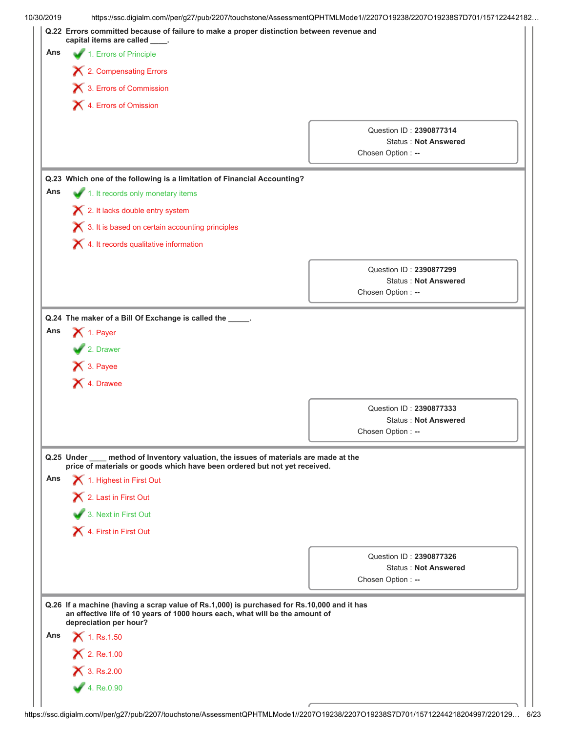|     | Q.22 Errors committed because of failure to make a proper distinction between revenue and<br>capital items are called _____.                                               | https://ssc.digialm.com//per/g27/pub/2207/touchstone/AssessmentQPHTMLMode1//2207O19238/2207O19238S7D701/157122442182 |
|-----|----------------------------------------------------------------------------------------------------------------------------------------------------------------------------|----------------------------------------------------------------------------------------------------------------------|
| Ans | 1. Errors of Principle                                                                                                                                                     |                                                                                                                      |
|     | X 2. Compensating Errors                                                                                                                                                   |                                                                                                                      |
|     | 3. Errors of Commission                                                                                                                                                    |                                                                                                                      |
|     | X 4. Errors of Omission                                                                                                                                                    |                                                                                                                      |
|     |                                                                                                                                                                            |                                                                                                                      |
|     |                                                                                                                                                                            | Question ID: 2390877314                                                                                              |
|     |                                                                                                                                                                            | <b>Status: Not Answered</b><br>Chosen Option: --                                                                     |
|     |                                                                                                                                                                            |                                                                                                                      |
|     | Q.23 Which one of the following is a limitation of Financial Accounting?                                                                                                   |                                                                                                                      |
| Ans | 1. It records only monetary items                                                                                                                                          |                                                                                                                      |
|     | X 2. It lacks double entry system                                                                                                                                          |                                                                                                                      |
|     | X 3. It is based on certain accounting principles                                                                                                                          |                                                                                                                      |
|     | $\boldsymbol{\times}$ 4. It records qualitative information                                                                                                                |                                                                                                                      |
|     |                                                                                                                                                                            | Question ID: 2390877299                                                                                              |
|     |                                                                                                                                                                            | <b>Status: Not Answered</b>                                                                                          |
|     |                                                                                                                                                                            | Chosen Option: --                                                                                                    |
|     | X 3. Payee                                                                                                                                                                 |                                                                                                                      |
|     | X 4. Drawee                                                                                                                                                                |                                                                                                                      |
|     |                                                                                                                                                                            | Question ID: 2390877333                                                                                              |
|     |                                                                                                                                                                            | <b>Status: Not Answered</b><br>Chosen Option: --                                                                     |
|     | Q.25 Under ____ method of Inventory valuation, the issues of materials are made at the                                                                                     |                                                                                                                      |
| Ans | price of materials or goods which have been ordered but not yet received.                                                                                                  |                                                                                                                      |
|     | 1. Highest in First Out                                                                                                                                                    |                                                                                                                      |
|     | X 2. Last in First Out                                                                                                                                                     |                                                                                                                      |
|     | 3. Next in First Out                                                                                                                                                       |                                                                                                                      |
|     | 4. First in First Out                                                                                                                                                      |                                                                                                                      |
|     |                                                                                                                                                                            | Question ID: 2390877326                                                                                              |
|     |                                                                                                                                                                            | <b>Status: Not Answered</b>                                                                                          |
|     |                                                                                                                                                                            | Chosen Option: --                                                                                                    |
|     | Q.26 If a machine (having a scrap value of Rs.1,000) is purchased for Rs.10,000 and it has<br>an effective life of 10 years of 1000 hours each, what will be the amount of |                                                                                                                      |
| Ans | depreciation per hour?<br>$X$ 1. Rs.1.50                                                                                                                                   |                                                                                                                      |
|     |                                                                                                                                                                            |                                                                                                                      |
|     | $X$ 2. Re.1.00<br>$X$ 3. Rs.2.00                                                                                                                                           |                                                                                                                      |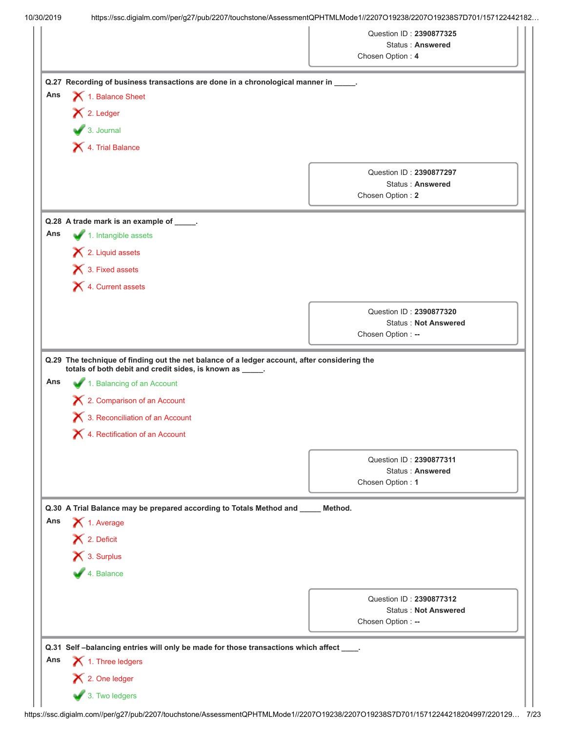|                                                                                                                                                                                                                                                                                                      | Question ID: 2390877325<br><b>Status: Answered</b><br>Chosen Option: 4      |
|------------------------------------------------------------------------------------------------------------------------------------------------------------------------------------------------------------------------------------------------------------------------------------------------------|-----------------------------------------------------------------------------|
| Q.27 Recording of business transactions are done in a chronological manner in _____.<br>Ans<br>1. Balance Sheet<br>X 2. Ledger<br>$\bullet$ 3. Journal<br>1. Trial Balance                                                                                                                           |                                                                             |
|                                                                                                                                                                                                                                                                                                      | Question ID: 2390877297<br><b>Status: Answered</b><br>Chosen Option: 2      |
| Q.28 A trade mark is an example of _____.<br>Ans<br>1. Intangible assets<br>$\blacktriangleright$ 2. Liquid assets<br>3. Fixed assets<br>X 4. Current assets                                                                                                                                         |                                                                             |
|                                                                                                                                                                                                                                                                                                      | Question ID: 2390877320<br><b>Status: Not Answered</b><br>Chosen Option: -- |
| Q.29 The technique of finding out the net balance of a ledger account, after considering the<br>totals of both debit and credit sides, is known as _____.<br>Ans<br>1. Balancing of an Account<br>X 2. Comparison of an Account<br>3. Reconciliation of an Account<br>4. Rectification of an Account |                                                                             |
|                                                                                                                                                                                                                                                                                                      | Question ID: 2390877311<br>Status: Answered<br>Chosen Option: 1             |
| Q.30 A Trial Balance may be prepared according to Totals Method and<br>Ans<br>1. Average<br>$\blacktriangleright$ 2. Deficit<br>X 3. Surplus<br>4. Balance                                                                                                                                           | Method.                                                                     |
|                                                                                                                                                                                                                                                                                                      | Question ID: 2390877312<br><b>Status: Not Answered</b><br>Chosen Option: -- |
| Q.31 Self-balancing entries will only be made for those transactions which affect<br>Ans<br>$\blacktriangleright$ 1. Three ledgers<br>12. One ledger<br>3. Two ledgers                                                                                                                               |                                                                             |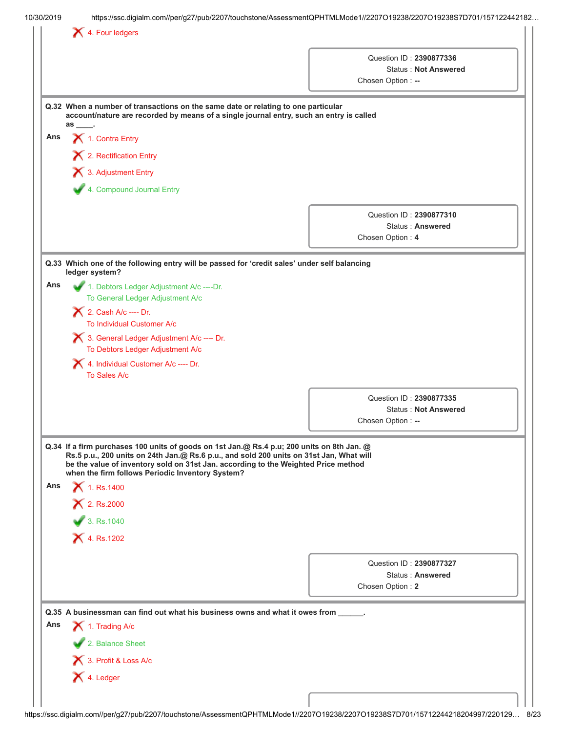|     |                                                                                                                                                                                                                                                                                                                                 | Question ID: 2390877336<br><b>Status: Not Answered</b>                 |
|-----|---------------------------------------------------------------------------------------------------------------------------------------------------------------------------------------------------------------------------------------------------------------------------------------------------------------------------------|------------------------------------------------------------------------|
|     |                                                                                                                                                                                                                                                                                                                                 | Chosen Option: --                                                      |
|     | Q.32 When a number of transactions on the same date or relating to one particular<br>account/nature are recorded by means of a single journal entry, such an entry is called<br>$\mathsf{as} \_\_$                                                                                                                              |                                                                        |
| Ans | 1. Contra Entry                                                                                                                                                                                                                                                                                                                 |                                                                        |
|     | X 2. Rectification Entry                                                                                                                                                                                                                                                                                                        |                                                                        |
|     | 3. Adjustment Entry                                                                                                                                                                                                                                                                                                             |                                                                        |
|     | 4. Compound Journal Entry                                                                                                                                                                                                                                                                                                       |                                                                        |
|     |                                                                                                                                                                                                                                                                                                                                 | Question ID: 2390877310<br><b>Status: Answered</b><br>Chosen Option: 4 |
|     | Q.33 Which one of the following entry will be passed for 'credit sales' under self balancing                                                                                                                                                                                                                                    |                                                                        |
| Ans | ledger system?<br>1. Debtors Ledger Adjustment A/c ---- Dr.                                                                                                                                                                                                                                                                     |                                                                        |
|     | To General Ledger Adjustment A/c                                                                                                                                                                                                                                                                                                |                                                                        |
|     | 2. Cash A/c ---- Dr.                                                                                                                                                                                                                                                                                                            |                                                                        |
|     | To Individual Customer A/c                                                                                                                                                                                                                                                                                                      |                                                                        |
|     | 3. General Ledger Adjustment A/c ---- Dr.<br>To Debtors Ledger Adjustment A/c                                                                                                                                                                                                                                                   |                                                                        |
|     | 4. Individual Customer A/c ---- Dr.<br>To Sales A/c                                                                                                                                                                                                                                                                             |                                                                        |
|     |                                                                                                                                                                                                                                                                                                                                 | Question ID: 2390877335                                                |
|     |                                                                                                                                                                                                                                                                                                                                 | <b>Status: Not Answered</b>                                            |
|     |                                                                                                                                                                                                                                                                                                                                 | Chosen Option: --                                                      |
|     | Q.34 If a firm purchases 100 units of goods on 1st Jan.@ Rs.4 p.u; 200 units on 8th Jan. @<br>Rs.5 p.u., 200 units on 24th Jan.@ Rs.6 p.u., and sold 200 units on 31st Jan, What will<br>be the value of inventory sold on 31st Jan. according to the Weighted Price method<br>when the firm follows Periodic Inventory System? |                                                                        |
| Ans | 1. Rs. 1400<br>× 2. Rs.2000                                                                                                                                                                                                                                                                                                     |                                                                        |
|     | 3. Rs.1040                                                                                                                                                                                                                                                                                                                      |                                                                        |
|     | <b>X</b> 4. Rs.1202                                                                                                                                                                                                                                                                                                             |                                                                        |
|     |                                                                                                                                                                                                                                                                                                                                 | Question ID: 2390877327                                                |
|     |                                                                                                                                                                                                                                                                                                                                 | Status: Answered                                                       |
|     |                                                                                                                                                                                                                                                                                                                                 | Chosen Option: 2                                                       |
|     | Q.35 A businessman can find out what his business owns and what it owes from _____.                                                                                                                                                                                                                                             |                                                                        |
| Ans | 1. Trading A/c                                                                                                                                                                                                                                                                                                                  |                                                                        |
|     | 2. Balance Sheet                                                                                                                                                                                                                                                                                                                |                                                                        |
|     | 13. Profit & Loss A/c                                                                                                                                                                                                                                                                                                           |                                                                        |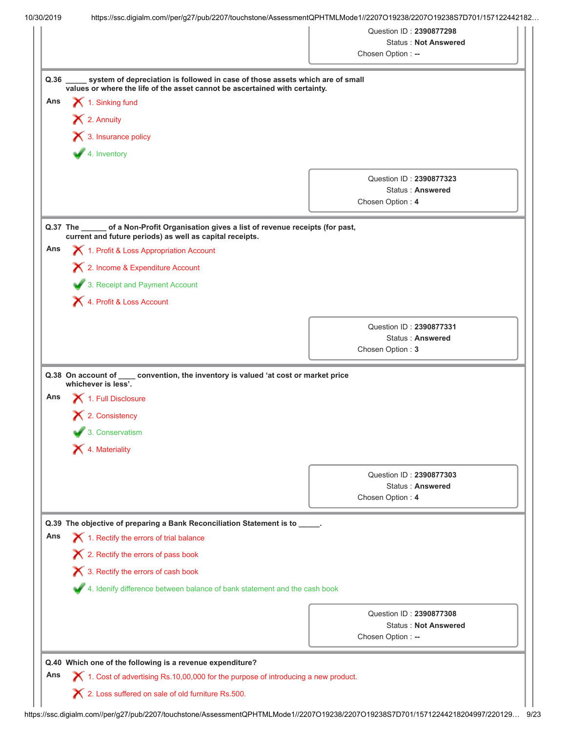|      |                                                                                                                                                                      | Question ID: 2390877298 | <b>Status: Not Answered</b> |
|------|----------------------------------------------------------------------------------------------------------------------------------------------------------------------|-------------------------|-----------------------------|
|      |                                                                                                                                                                      | Chosen Option: --       |                             |
|      |                                                                                                                                                                      |                         |                             |
| Q.36 | system of depreciation is followed in case of those assets which are of small<br>values or where the life of the asset cannot be ascertained with certainty.         |                         |                             |
| Ans  | 1. Sinking fund                                                                                                                                                      |                         |                             |
|      | X 2. Annuity                                                                                                                                                         |                         |                             |
|      |                                                                                                                                                                      |                         |                             |
|      | $\bigtimes$ 3. Insurance policy                                                                                                                                      |                         |                             |
|      | 4. Inventory                                                                                                                                                         |                         |                             |
|      |                                                                                                                                                                      |                         | Question ID: 2390877323     |
|      |                                                                                                                                                                      |                         | Status: Answered            |
|      |                                                                                                                                                                      | Chosen Option: 4        |                             |
|      |                                                                                                                                                                      |                         |                             |
|      | of a Non-Profit Organisation gives a list of revenue receipts (for past,<br>$Q.37$ The<br>current and future periods) as well as capital receipts.                   |                         |                             |
| Ans  | 1. Profit & Loss Appropriation Account                                                                                                                               |                         |                             |
|      | 2. Income & Expenditure Account                                                                                                                                      |                         |                             |
|      | 3. Receipt and Payment Account                                                                                                                                       |                         |                             |
|      | 4. Profit & Loss Account                                                                                                                                             |                         |                             |
|      |                                                                                                                                                                      |                         |                             |
|      |                                                                                                                                                                      |                         | Question ID: 2390877331     |
|      |                                                                                                                                                                      |                         | Status: Answered            |
|      |                                                                                                                                                                      |                         |                             |
|      | Q.38 On account of ____ convention, the inventory is valued 'at cost or market price<br>whichever is less'.                                                          | Chosen Option: 3        |                             |
| Ans  | 1. Full Disclosure<br>X 2. Consistency<br>3. Conservatism<br>X 4. Materiality                                                                                        |                         |                             |
|      |                                                                                                                                                                      |                         | Question ID: 2390877303     |
|      |                                                                                                                                                                      |                         | Status: Answered            |
|      |                                                                                                                                                                      | Chosen Option: 4        |                             |
|      | Q.39 The objective of preparing a Bank Reconciliation Statement is to _____.                                                                                         |                         |                             |
|      |                                                                                                                                                                      |                         |                             |
|      | 1. Rectify the errors of trial balance                                                                                                                               |                         |                             |
|      | $\boldsymbol{\times}$ 2. Rectify the errors of pass book                                                                                                             |                         |                             |
|      | 3. Rectify the errors of cash book                                                                                                                                   |                         |                             |
|      | 4. Idenify difference between balance of bank statement and the cash book                                                                                            |                         |                             |
| Ans  |                                                                                                                                                                      |                         | Question ID: 2390877308     |
|      |                                                                                                                                                                      |                         | <b>Status: Not Answered</b> |
|      |                                                                                                                                                                      | Chosen Option: --       |                             |
|      |                                                                                                                                                                      |                         |                             |
| Ans  | Q.40 Which one of the following is a revenue expenditure?<br>$\blacktriangleright$ 1. Cost of advertising Rs.10,00,000 for the purpose of introducing a new product. |                         |                             |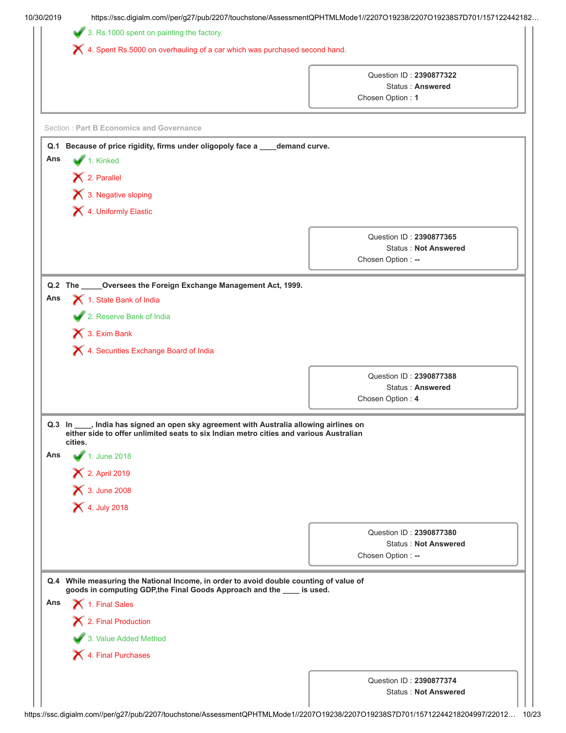|     | https://ssc.digialm.com//per/g27/pub/2207/touchstone/AssessmentQPHTMLMode1//2207O19238/2207O19238S7D701/157122442182                                                                         |                                                    |
|-----|----------------------------------------------------------------------------------------------------------------------------------------------------------------------------------------------|----------------------------------------------------|
|     | 3. Rs.1000 spent on painting the factory.                                                                                                                                                    |                                                    |
|     | X 4. Spent Rs.5000 on overhauling of a car which was purchased second hand.                                                                                                                  |                                                    |
|     |                                                                                                                                                                                              |                                                    |
|     |                                                                                                                                                                                              | Question ID: 2390877322<br><b>Status: Answered</b> |
|     |                                                                                                                                                                                              | Chosen Option: 1                                   |
|     |                                                                                                                                                                                              |                                                    |
|     | <b>Section: Part B Economics and Governance</b>                                                                                                                                              |                                                    |
|     | Q.1 Because of price rigidity, firms under oligopoly face a ____ demand curve.                                                                                                               |                                                    |
| Ans | 1. Kinked                                                                                                                                                                                    |                                                    |
|     | X 2. Parallel                                                                                                                                                                                |                                                    |
|     | 3. Negative sloping                                                                                                                                                                          |                                                    |
|     | 4. Uniformly Elastic                                                                                                                                                                         |                                                    |
|     |                                                                                                                                                                                              |                                                    |
|     |                                                                                                                                                                                              | Question ID: 2390877365                            |
|     |                                                                                                                                                                                              | <b>Status: Not Answered</b>                        |
|     |                                                                                                                                                                                              | Chosen Option: --                                  |
|     | Q.2 The _____Oversees the Foreign Exchange Management Act, 1999.                                                                                                                             |                                                    |
| Ans | 1. State Bank of India                                                                                                                                                                       |                                                    |
|     | 2. Reserve Bank of India                                                                                                                                                                     |                                                    |
|     | 1 3. Exim Bank                                                                                                                                                                               |                                                    |
|     | X 4. Securities Exchange Board of India                                                                                                                                                      |                                                    |
|     |                                                                                                                                                                                              |                                                    |
|     |                                                                                                                                                                                              | Question ID: 2390877388                            |
|     |                                                                                                                                                                                              | Status: Answered                                   |
|     |                                                                                                                                                                                              |                                                    |
|     |                                                                                                                                                                                              | Chosen Option: 4                                   |
|     | Q.3 In ____, India has signed an open sky agreement with Australia allowing airlines on<br>either side to offer unlimited seats to six Indian metro cities and various Australian<br>cities. |                                                    |
| Ans | 1. June 2018                                                                                                                                                                                 |                                                    |
|     |                                                                                                                                                                                              |                                                    |
|     | 2. April 2019                                                                                                                                                                                |                                                    |
|     | <b>X</b> 3. June 2008                                                                                                                                                                        |                                                    |
|     | <b>X</b> 4. July 2018                                                                                                                                                                        |                                                    |
|     |                                                                                                                                                                                              | Question ID: 2390877380                            |
|     |                                                                                                                                                                                              | <b>Status: Not Answered</b>                        |
|     |                                                                                                                                                                                              | Chosen Option: --                                  |
|     | Q.4 While measuring the National Income, in order to avoid double counting of value of                                                                                                       |                                                    |
| Ans | goods in computing GDP, the Final Goods Approach and the ____ is used.                                                                                                                       |                                                    |
|     | 1. Final Sales                                                                                                                                                                               |                                                    |
|     | X 2. Final Production                                                                                                                                                                        |                                                    |
|     | 3. Value Added Method                                                                                                                                                                        |                                                    |
|     | X 4. Final Purchases                                                                                                                                                                         |                                                    |
|     |                                                                                                                                                                                              | Question ID: 2390877374                            |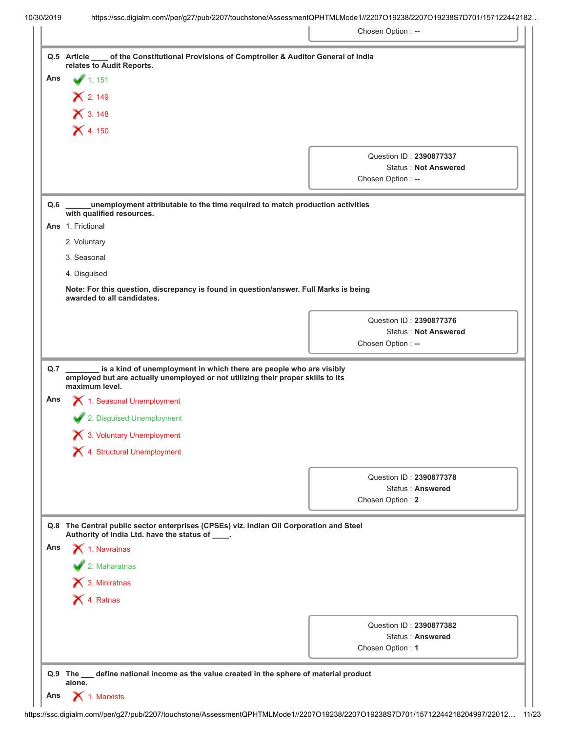|                   | Q.5 Article ____ of the Constitutional Provisions of Comptroller & Auditor General of India                                                                                              |                                             |
|-------------------|------------------------------------------------------------------------------------------------------------------------------------------------------------------------------------------|---------------------------------------------|
| Ans               | relates to Audit Reports.<br>1.151                                                                                                                                                       |                                             |
|                   |                                                                                                                                                                                          |                                             |
|                   | $X$ 2.149                                                                                                                                                                                |                                             |
|                   | $X$ 3.148                                                                                                                                                                                |                                             |
|                   | $X$ 4.150                                                                                                                                                                                |                                             |
|                   |                                                                                                                                                                                          | Question ID: 2390877337                     |
|                   |                                                                                                                                                                                          | <b>Status: Not Answered</b>                 |
|                   |                                                                                                                                                                                          | Chosen Option: --                           |
| Q.6               | unemployment attributable to the time required to match production activities<br>with qualified resources.                                                                               |                                             |
|                   | Ans 1. Frictional                                                                                                                                                                        |                                             |
|                   | 2. Voluntary                                                                                                                                                                             |                                             |
|                   | 3. Seasonal                                                                                                                                                                              |                                             |
|                   | 4. Disguised                                                                                                                                                                             |                                             |
|                   | Note: For this question, discrepancy is found in question/answer. Full Marks is being<br>awarded to all candidates.                                                                      |                                             |
|                   |                                                                                                                                                                                          | Question ID: 2390877376                     |
|                   |                                                                                                                                                                                          | <b>Status: Not Answered</b>                 |
|                   |                                                                                                                                                                                          | Chosen Option: --                           |
|                   | is a kind of unemployment in which there are people who are visibly<br>$\overline{\phantom{0}}$                                                                                          |                                             |
|                   | employed but are actually unemployed or not utilizing their proper skills to its<br>maximum level.<br>1. Seasonal Unemployment<br>2. Disguised Unemployment<br>3. Voluntary Unemployment |                                             |
|                   | 1. Structural Unemployment                                                                                                                                                               |                                             |
|                   |                                                                                                                                                                                          | Question ID: 2390877378                     |
|                   |                                                                                                                                                                                          | <b>Status: Answered</b>                     |
|                   |                                                                                                                                                                                          | Chosen Option: 2                            |
|                   | Q.8 The Central public sector enterprises (CPSEs) viz. Indian Oil Corporation and Steel                                                                                                  |                                             |
|                   | Authority of India Ltd. have the status of ____.                                                                                                                                         |                                             |
|                   | $\blacktriangle$ 1. Navratnas                                                                                                                                                            |                                             |
|                   | 2. Maharatnas                                                                                                                                                                            |                                             |
|                   | $\blacktriangleright$ 3. Miniratnas                                                                                                                                                      |                                             |
|                   | X 4. Ratnas                                                                                                                                                                              |                                             |
| Q.7<br>Ans<br>Ans |                                                                                                                                                                                          |                                             |
|                   |                                                                                                                                                                                          | Question ID: 2390877382<br>Status: Answered |
|                   |                                                                                                                                                                                          | Chosen Option: 1                            |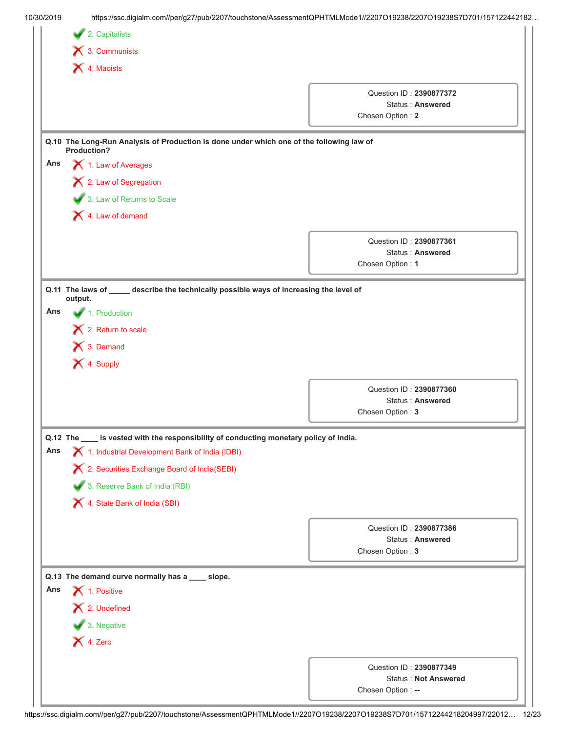|     | https://ssc.digialm.com//per/g27/pub/2207/touchstone/AssessmentQPHTMLMode1//2207O19238/2207O19238S7D701/157122442182 |                                                        |  |
|-----|----------------------------------------------------------------------------------------------------------------------|--------------------------------------------------------|--|
|     | 2. Capitalists                                                                                                       |                                                        |  |
|     | $\bigtimes$ 3. Communists                                                                                            |                                                        |  |
|     | X 4. Maoists                                                                                                         |                                                        |  |
|     |                                                                                                                      | Question ID: 2390877372                                |  |
|     |                                                                                                                      | <b>Status: Answered</b>                                |  |
|     |                                                                                                                      | Chosen Option: 2                                       |  |
|     | Q.10 The Long-Run Analysis of Production is done under which one of the following law of<br>Production?              |                                                        |  |
| Ans | 1. Law of Averages                                                                                                   |                                                        |  |
|     | X 2. Law of Segregation                                                                                              |                                                        |  |
|     | 3. Law of Returns to Scale                                                                                           |                                                        |  |
|     | 4. Law of demand                                                                                                     |                                                        |  |
|     |                                                                                                                      | Question ID: 2390877361                                |  |
|     |                                                                                                                      | Status: Answered                                       |  |
|     |                                                                                                                      | Chosen Option: 1                                       |  |
|     | Q.11 The laws of ____ describe the technically possible ways of increasing the level of<br>output.                   |                                                        |  |
| Ans | 1. Production                                                                                                        |                                                        |  |
|     | $\bigtimes$ 2. Return to scale                                                                                       |                                                        |  |
|     | $\bigtimes$ 3. Demand                                                                                                |                                                        |  |
|     | X 4. Supply                                                                                                          |                                                        |  |
|     |                                                                                                                      |                                                        |  |
|     |                                                                                                                      | Question ID: 2390877360                                |  |
|     |                                                                                                                      | <b>Status: Answered</b><br>Chosen Option: 3            |  |
|     |                                                                                                                      |                                                        |  |
|     | Q.12 The ____ is vested with the responsibility of conducting monetary policy of India.                              |                                                        |  |
|     |                                                                                                                      |                                                        |  |
|     | 1. Industrial Development Bank of India (IDBI)                                                                       |                                                        |  |
| Ans | X 2. Securities Exchange Board of India(SEBI)                                                                        |                                                        |  |
|     | 3. Reserve Bank of India (RBI)                                                                                       |                                                        |  |
|     | X 4. State Bank of India (SBI)                                                                                       |                                                        |  |
|     |                                                                                                                      | Question ID: 2390877386                                |  |
|     |                                                                                                                      | <b>Status: Answered</b>                                |  |
|     |                                                                                                                      | Chosen Option: 3                                       |  |
|     | Q.13 The demand curve normally has a ___ slope.                                                                      |                                                        |  |
| Ans | 1. Positive                                                                                                          |                                                        |  |
|     | X 2. Undefined                                                                                                       |                                                        |  |
|     | 3. Negative                                                                                                          |                                                        |  |
|     | $\bigtimes$ 4. Zero                                                                                                  |                                                        |  |
|     |                                                                                                                      |                                                        |  |
|     |                                                                                                                      | Question ID: 2390877349<br><b>Status: Not Answered</b> |  |

https://ssc.digialm.com//per/g27/pub/2207/touchstone/AssessmentQPHTMLMode1//2207O19238/2207O19238S7D701/15712244218204997/22012… 12/23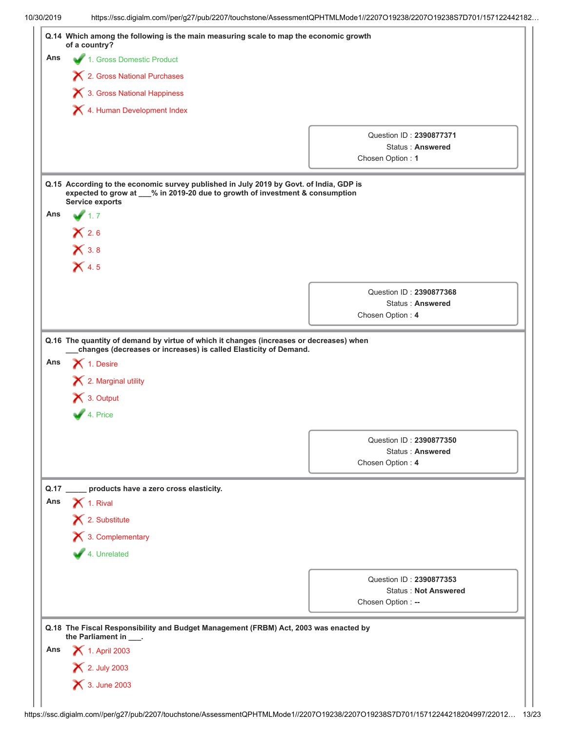| Ans                | 4 1. Gross Domestic Product                                                                                                                                                                      |                                                    |  |  |  |
|--------------------|--------------------------------------------------------------------------------------------------------------------------------------------------------------------------------------------------|----------------------------------------------------|--|--|--|
|                    | X 2. Gross National Purchases                                                                                                                                                                    |                                                    |  |  |  |
|                    | 3. Gross National Happiness                                                                                                                                                                      |                                                    |  |  |  |
|                    | 4. Human Development Index                                                                                                                                                                       |                                                    |  |  |  |
|                    |                                                                                                                                                                                                  |                                                    |  |  |  |
|                    |                                                                                                                                                                                                  | Question ID: 2390877371                            |  |  |  |
|                    |                                                                                                                                                                                                  | <b>Status: Answered</b><br>Chosen Option: 1        |  |  |  |
|                    |                                                                                                                                                                                                  |                                                    |  |  |  |
|                    | Q.15 According to the economic survey published in July 2019 by Govt. of India, GDP is<br>expected to grow at __% in 2019-20 due to growth of investment & consumption<br><b>Service exports</b> |                                                    |  |  |  |
| Ans                | $\sqrt{1.7}$                                                                                                                                                                                     |                                                    |  |  |  |
|                    | X2.6                                                                                                                                                                                             |                                                    |  |  |  |
|                    | $\mathsf{X}$ 3.8                                                                                                                                                                                 |                                                    |  |  |  |
|                    | $\mathsf{X}$ 4.5                                                                                                                                                                                 |                                                    |  |  |  |
|                    |                                                                                                                                                                                                  |                                                    |  |  |  |
|                    |                                                                                                                                                                                                  | Question ID: 2390877368<br><b>Status: Answered</b> |  |  |  |
|                    |                                                                                                                                                                                                  | Chosen Option: 4                                   |  |  |  |
|                    |                                                                                                                                                                                                  |                                                    |  |  |  |
|                    | X 3. Output<br>4. Price                                                                                                                                                                          |                                                    |  |  |  |
|                    |                                                                                                                                                                                                  |                                                    |  |  |  |
|                    |                                                                                                                                                                                                  | Question ID: 2390877350<br>Status: Answered        |  |  |  |
|                    |                                                                                                                                                                                                  | Chosen Option: 4                                   |  |  |  |
|                    | ___ products have a zero cross elasticity.                                                                                                                                                       |                                                    |  |  |  |
|                    | $\bigtimes$ 1. Rival                                                                                                                                                                             |                                                    |  |  |  |
|                    | X 2. Substitute                                                                                                                                                                                  |                                                    |  |  |  |
|                    | X 3. Complementary                                                                                                                                                                               |                                                    |  |  |  |
|                    | 4. Unrelated                                                                                                                                                                                     |                                                    |  |  |  |
|                    |                                                                                                                                                                                                  | Question ID: 2390877353                            |  |  |  |
|                    |                                                                                                                                                                                                  | <b>Status: Not Answered</b>                        |  |  |  |
|                    |                                                                                                                                                                                                  | Chosen Option: --                                  |  |  |  |
|                    | Q.18 The Fiscal Responsibility and Budget Management (FRBM) Act, 2003 was enacted by                                                                                                             |                                                    |  |  |  |
|                    | the Parliament in ___.<br>1. April 2003                                                                                                                                                          |                                                    |  |  |  |
| Q.17<br>Ans<br>Ans | × 2. July 2003                                                                                                                                                                                   |                                                    |  |  |  |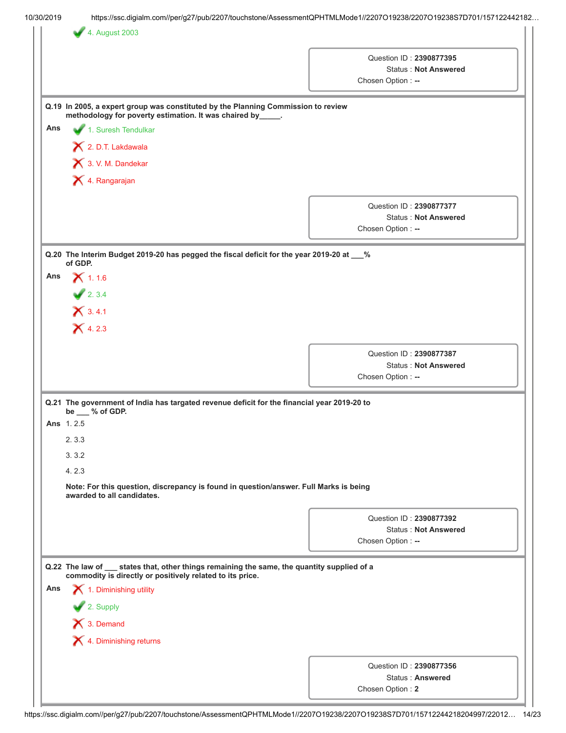|     |                                                                                                                                                          | Question ID: 2390877395                                                     |
|-----|----------------------------------------------------------------------------------------------------------------------------------------------------------|-----------------------------------------------------------------------------|
|     |                                                                                                                                                          | <b>Status: Not Answered</b>                                                 |
|     |                                                                                                                                                          | Chosen Option: --                                                           |
|     | Q.19 In 2005, a expert group was constituted by the Planning Commission to review<br>methodology for poverty estimation. It was chaired by_____.         |                                                                             |
| Ans | 1. Suresh Tendulkar                                                                                                                                      |                                                                             |
|     | 2. D.T. Lakdawala                                                                                                                                        |                                                                             |
|     | 3. V. M. Dandekar                                                                                                                                        |                                                                             |
|     | X 4. Rangarajan                                                                                                                                          |                                                                             |
|     |                                                                                                                                                          | Question ID: 2390877377<br><b>Status: Not Answered</b><br>Chosen Option: -- |
|     | Q.20 The Interim Budget 2019-20 has pegged the fiscal deficit for the year 2019-20 at __%                                                                |                                                                             |
| Ans | of GDP.                                                                                                                                                  |                                                                             |
|     | $X$ 1.1.6                                                                                                                                                |                                                                             |
|     | 2.3.4                                                                                                                                                    |                                                                             |
|     | $X$ 3.4.1                                                                                                                                                |                                                                             |
|     | $X$ 4.2.3                                                                                                                                                |                                                                             |
|     |                                                                                                                                                          | Question ID: 2390877387                                                     |
|     |                                                                                                                                                          | <b>Status: Not Answered</b>                                                 |
|     |                                                                                                                                                          | Chosen Option: --                                                           |
|     | Q.21 The government of India has targated revenue deficit for the financial year 2019-20 to<br>be __ % of GDP.                                           |                                                                             |
|     | <b>Ans</b> 1.2.5                                                                                                                                         |                                                                             |
|     | 2.3.3                                                                                                                                                    |                                                                             |
|     | 3.3.2                                                                                                                                                    |                                                                             |
|     | 4.2.3                                                                                                                                                    |                                                                             |
|     | Note: For this question, discrepancy is found in question/answer. Full Marks is being<br>awarded to all candidates.                                      |                                                                             |
|     |                                                                                                                                                          | Question ID: 2390877392                                                     |
|     |                                                                                                                                                          | <b>Status: Not Answered</b>                                                 |
|     |                                                                                                                                                          | Chosen Option: --                                                           |
|     | Q.22 The law of __ states that, other things remaining the same, the quantity supplied of a<br>commodity is directly or positively related to its price. |                                                                             |
| Ans | 1. Diminishing utility                                                                                                                                   |                                                                             |
|     | 2. Supply                                                                                                                                                |                                                                             |
|     | X 3. Demand                                                                                                                                              |                                                                             |
|     |                                                                                                                                                          |                                                                             |
|     | X 4. Diminishing returns                                                                                                                                 |                                                                             |
|     |                                                                                                                                                          | Question ID: 2390877356                                                     |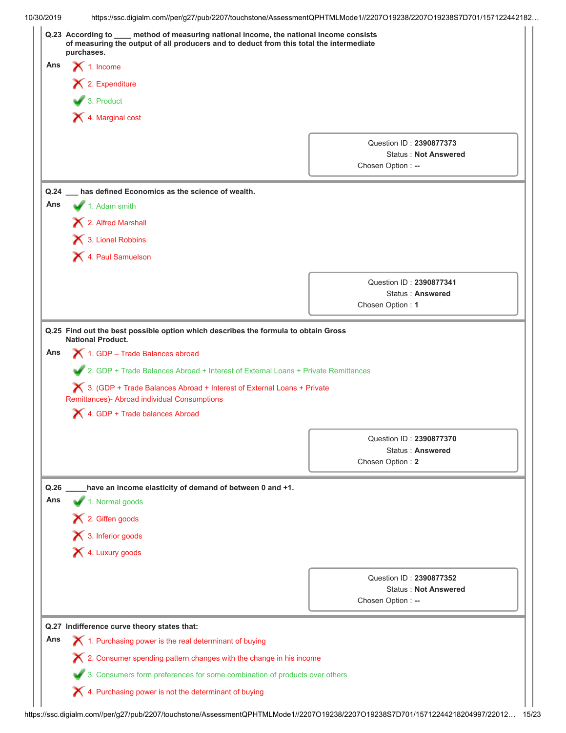| 10/30/2019  | https://ssc.digialm.com//per/g27/pub/2207/touchstone/AssessmentQPHTMLMode1//2207O19238/2207O19238S7D701/157122442182 |                                                                                |                                                                                                                                                                                    |  |                                                  |  |
|-------------|----------------------------------------------------------------------------------------------------------------------|--------------------------------------------------------------------------------|------------------------------------------------------------------------------------------------------------------------------------------------------------------------------------|--|--------------------------------------------------|--|
|             | purchases.                                                                                                           |                                                                                | Q.23 According to ___ method of measuring national income, the national income consists<br>of measuring the output of all producers and to deduct from this total the intermediate |  |                                                  |  |
| Ans         | $\blacktriangleright$ 1. Income                                                                                      |                                                                                |                                                                                                                                                                                    |  |                                                  |  |
|             | $\blacktriangleright$ 2. Expenditure                                                                                 |                                                                                |                                                                                                                                                                                    |  |                                                  |  |
|             | $\bullet$ 3. Product                                                                                                 |                                                                                |                                                                                                                                                                                    |  |                                                  |  |
|             | X 4. Marginal cost                                                                                                   |                                                                                |                                                                                                                                                                                    |  |                                                  |  |
|             |                                                                                                                      |                                                                                |                                                                                                                                                                                    |  |                                                  |  |
|             |                                                                                                                      |                                                                                |                                                                                                                                                                                    |  | Question ID: 2390877373                          |  |
|             |                                                                                                                      |                                                                                |                                                                                                                                                                                    |  | <b>Status: Not Answered</b><br>Chosen Option: -- |  |
|             |                                                                                                                      |                                                                                |                                                                                                                                                                                    |  |                                                  |  |
|             |                                                                                                                      |                                                                                | Q.24 __ has defined Economics as the science of wealth.                                                                                                                            |  |                                                  |  |
| Ans         | $\blacktriangleright$ 1. Adam smith                                                                                  |                                                                                |                                                                                                                                                                                    |  |                                                  |  |
|             | 2. Alfred Marshall                                                                                                   |                                                                                |                                                                                                                                                                                    |  |                                                  |  |
|             | 3. Lionel Robbins                                                                                                    |                                                                                |                                                                                                                                                                                    |  |                                                  |  |
|             | X 4. Paul Samuelson                                                                                                  |                                                                                |                                                                                                                                                                                    |  |                                                  |  |
|             |                                                                                                                      |                                                                                |                                                                                                                                                                                    |  | Question ID: 2390877341                          |  |
|             |                                                                                                                      |                                                                                |                                                                                                                                                                                    |  | <b>Status: Answered</b>                          |  |
|             |                                                                                                                      |                                                                                |                                                                                                                                                                                    |  | Chosen Option: 1                                 |  |
| Ans         | <b>National Product.</b>                                                                                             | 1. GDP - Trade Balances abroad                                                 | Q.25 Find out the best possible option which describes the formula to obtain Gross<br>2. GDP + Trade Balances Abroad + Interest of External Loans + Private Remittances            |  |                                                  |  |
|             |                                                                                                                      | Remittances)- Abroad individual Consumptions<br>4. GDP + Trade balances Abroad | $\blacktriangleright$ 3. (GDP + Trade Balances Abroad + Interest of External Loans + Private                                                                                       |  |                                                  |  |
|             |                                                                                                                      |                                                                                |                                                                                                                                                                                    |  |                                                  |  |
|             |                                                                                                                      |                                                                                |                                                                                                                                                                                    |  | Question ID: 2390877370<br>Status: Answered      |  |
|             |                                                                                                                      |                                                                                |                                                                                                                                                                                    |  | Chosen Option: 2                                 |  |
|             |                                                                                                                      |                                                                                |                                                                                                                                                                                    |  |                                                  |  |
| Q.26<br>Ans |                                                                                                                      |                                                                                | have an income elasticity of demand of between 0 and +1.                                                                                                                           |  |                                                  |  |
|             | 1. Normal goods                                                                                                      |                                                                                |                                                                                                                                                                                    |  |                                                  |  |
|             | 12. Giffen goods                                                                                                     |                                                                                |                                                                                                                                                                                    |  |                                                  |  |
|             | 1 3. Inferior goods                                                                                                  |                                                                                |                                                                                                                                                                                    |  |                                                  |  |
|             | X 4. Luxury goods                                                                                                    |                                                                                |                                                                                                                                                                                    |  |                                                  |  |
|             |                                                                                                                      |                                                                                |                                                                                                                                                                                    |  | Question ID: 2390877352                          |  |
|             |                                                                                                                      |                                                                                |                                                                                                                                                                                    |  | <b>Status: Not Answered</b>                      |  |
|             |                                                                                                                      |                                                                                |                                                                                                                                                                                    |  | Chosen Option: --                                |  |
|             |                                                                                                                      | Q.27 Indifference curve theory states that:                                    |                                                                                                                                                                                    |  |                                                  |  |
| Ans         |                                                                                                                      |                                                                                | 1. Purchasing power is the real determinant of buying                                                                                                                              |  |                                                  |  |
|             |                                                                                                                      |                                                                                | X 2. Consumer spending pattern changes with the change in his income                                                                                                               |  |                                                  |  |
|             |                                                                                                                      |                                                                                | 3. Consumers form preferences for some combination of products over others                                                                                                         |  |                                                  |  |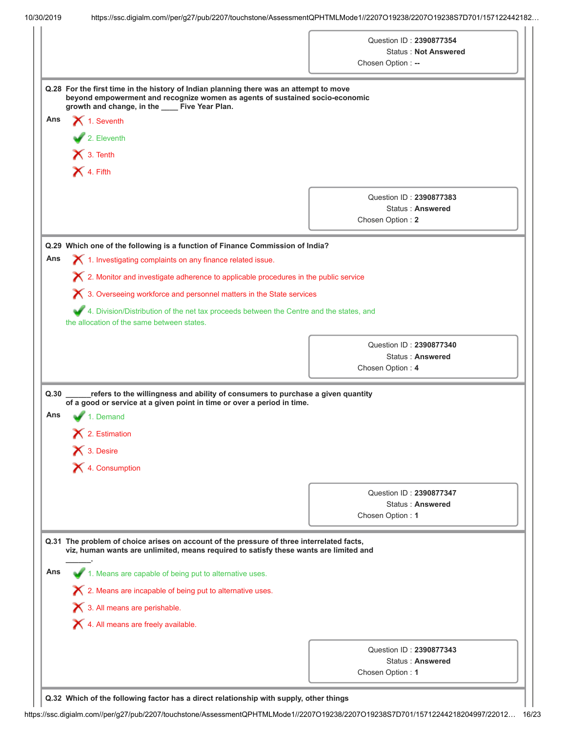|             |                                                                                                                                                                                                                                              | Question ID: 2390877354<br><b>Status: Not Answered</b><br>Chosen Option: -- |
|-------------|----------------------------------------------------------------------------------------------------------------------------------------------------------------------------------------------------------------------------------------------|-----------------------------------------------------------------------------|
|             | Q.28 For the first time in the history of Indian planning there was an attempt to move<br>beyond empowerment and recognize women as agents of sustained socio-economic<br>growth and change, in the ____ Five Year Plan.                     |                                                                             |
| Ans         | $\blacktriangleright$ 1. Seventh                                                                                                                                                                                                             |                                                                             |
|             | 2. Eleventh                                                                                                                                                                                                                                  |                                                                             |
|             | $\mathsf{X}$ 3. Tenth                                                                                                                                                                                                                        |                                                                             |
|             | $X$ 4. Fifth                                                                                                                                                                                                                                 |                                                                             |
|             |                                                                                                                                                                                                                                              |                                                                             |
|             |                                                                                                                                                                                                                                              | Question ID: 2390877383<br>Status: Answered                                 |
|             |                                                                                                                                                                                                                                              | Chosen Option: 2                                                            |
|             |                                                                                                                                                                                                                                              |                                                                             |
|             | Q.29 Which one of the following is a function of Finance Commission of India?                                                                                                                                                                |                                                                             |
| Ans         | $\boldsymbol{\times}$ 1. Investigating complaints on any finance related issue.                                                                                                                                                              |                                                                             |
|             | $\chi$ 2. Monitor and investigate adherence to applicable procedures in the public service                                                                                                                                                   |                                                                             |
|             | X 3. Overseeing workforce and personnel matters in the State services                                                                                                                                                                        |                                                                             |
|             | 4. Division/Distribution of the net tax proceeds between the Centre and the states, and                                                                                                                                                      |                                                                             |
|             | the allocation of the same between states.                                                                                                                                                                                                   |                                                                             |
|             |                                                                                                                                                                                                                                              | Question ID: 2390877340                                                     |
|             |                                                                                                                                                                                                                                              | Status: Answered                                                            |
|             |                                                                                                                                                                                                                                              | Chosen Option: 4                                                            |
| Q.30<br>Ans | refers to the willingness and ability of consumers to purchase a given quantity<br>of a good or service at a given point in time or over a period in time.<br>1. Demand                                                                      |                                                                             |
|             | $\blacktriangleright$ 2. Estimation                                                                                                                                                                                                          |                                                                             |
|             | $\bigtimes$ 3. Desire                                                                                                                                                                                                                        |                                                                             |
|             |                                                                                                                                                                                                                                              |                                                                             |
|             |                                                                                                                                                                                                                                              |                                                                             |
|             | X 4. Consumption                                                                                                                                                                                                                             |                                                                             |
|             |                                                                                                                                                                                                                                              | Question ID: 2390877347                                                     |
|             |                                                                                                                                                                                                                                              | Status: Answered                                                            |
|             |                                                                                                                                                                                                                                              |                                                                             |
| Ans         | Q.31 The problem of choice arises on account of the pressure of three interrelated facts,<br>viz, human wants are unlimited, means required to satisfy these wants are limited and<br>1. Means are capable of being put to alternative uses. | Chosen Option: 1                                                            |
|             | X 2. Means are incapable of being put to alternative uses.                                                                                                                                                                                   |                                                                             |
|             | $\boldsymbol{\times}$ 3. All means are perishable.                                                                                                                                                                                           |                                                                             |
|             | 4. All means are freely available.                                                                                                                                                                                                           |                                                                             |
|             |                                                                                                                                                                                                                                              |                                                                             |
|             |                                                                                                                                                                                                                                              | Question ID: 2390877343<br>Status: Answered                                 |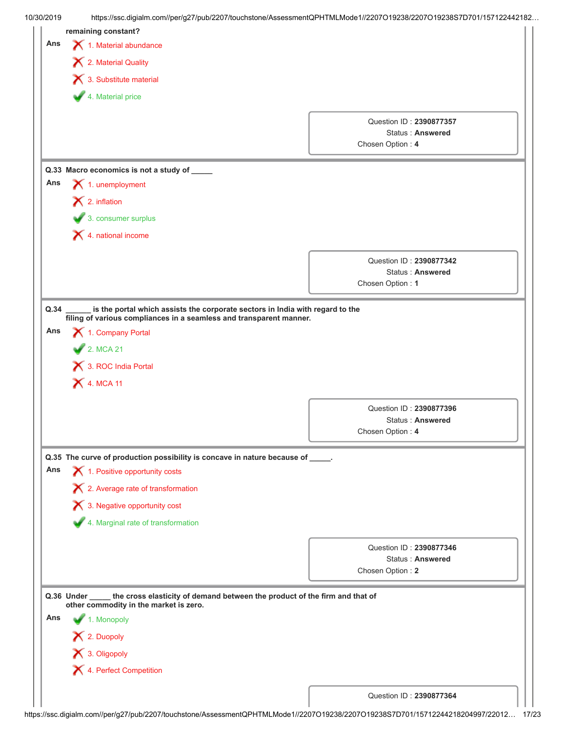|     |                                                                                              | https://ssc.digialm.com//per/g27/pub/2207/touchstone/AssessmentQPHTMLMode1//2207O19238/2207O19238S7D701/157122442182 |  |  |  |  |
|-----|----------------------------------------------------------------------------------------------|----------------------------------------------------------------------------------------------------------------------|--|--|--|--|
|     | remaining constant?                                                                          |                                                                                                                      |  |  |  |  |
| Ans | 1. Material abundance                                                                        |                                                                                                                      |  |  |  |  |
|     | 12. Material Quality                                                                         |                                                                                                                      |  |  |  |  |
|     | $\blacktriangleright$ 3. Substitute material                                                 |                                                                                                                      |  |  |  |  |
|     | 4. Material price                                                                            |                                                                                                                      |  |  |  |  |
|     |                                                                                              |                                                                                                                      |  |  |  |  |
|     |                                                                                              | Question ID: 2390877357<br>Status: Answered                                                                          |  |  |  |  |
|     |                                                                                              | Chosen Option: 4                                                                                                     |  |  |  |  |
|     |                                                                                              |                                                                                                                      |  |  |  |  |
|     | Q.33 Macro economics is not a study of ____                                                  |                                                                                                                      |  |  |  |  |
| Ans | $\blacktriangleright$ 1. unemployment                                                        |                                                                                                                      |  |  |  |  |
|     | $\bigtimes$ 2. inflation                                                                     |                                                                                                                      |  |  |  |  |
|     | 3. consumer surplus                                                                          |                                                                                                                      |  |  |  |  |
|     | 4. national income                                                                           |                                                                                                                      |  |  |  |  |
|     |                                                                                              | Question ID: 2390877342                                                                                              |  |  |  |  |
|     |                                                                                              | Status: Answered                                                                                                     |  |  |  |  |
|     |                                                                                              | Chosen Option: 1                                                                                                     |  |  |  |  |
|     | 3. ROC India Portal<br><b>X</b> 4. MCA 11                                                    |                                                                                                                      |  |  |  |  |
|     |                                                                                              | Question ID: 2390877396                                                                                              |  |  |  |  |
|     |                                                                                              | Status: Answered                                                                                                     |  |  |  |  |
|     |                                                                                              | Chosen Option: 4                                                                                                     |  |  |  |  |
|     | Q.35 The curve of production possibility is concave in nature because of _____.              |                                                                                                                      |  |  |  |  |
| Ans |                                                                                              |                                                                                                                      |  |  |  |  |
|     |                                                                                              |                                                                                                                      |  |  |  |  |
|     | 1. Positive opportunity costs                                                                |                                                                                                                      |  |  |  |  |
|     | 2. Average rate of transformation                                                            |                                                                                                                      |  |  |  |  |
|     | 3. Negative opportunity cost                                                                 |                                                                                                                      |  |  |  |  |
|     | 4. Marginal rate of transformation                                                           |                                                                                                                      |  |  |  |  |
|     |                                                                                              | Question ID: 2390877346                                                                                              |  |  |  |  |
|     |                                                                                              | Status: Answered                                                                                                     |  |  |  |  |
|     |                                                                                              | Chosen Option: 2                                                                                                     |  |  |  |  |
|     | Q.36 Under ______ the cross elasticity of demand between the product of the firm and that of |                                                                                                                      |  |  |  |  |
|     | other commodity in the market is zero.                                                       |                                                                                                                      |  |  |  |  |
| Ans | 1. Monopoly                                                                                  |                                                                                                                      |  |  |  |  |
|     | X 2. Duopoly                                                                                 |                                                                                                                      |  |  |  |  |
|     | X 3. Oligopoly                                                                               |                                                                                                                      |  |  |  |  |
|     | 4. Perfect Competition                                                                       |                                                                                                                      |  |  |  |  |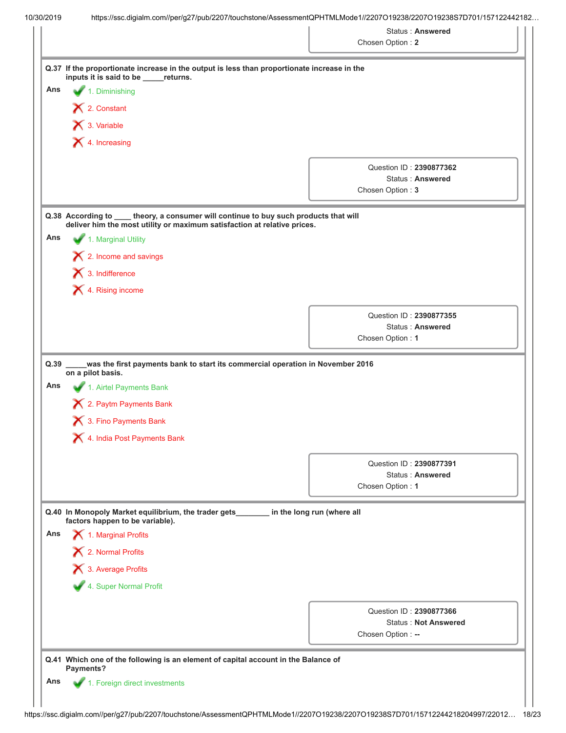|             |                                                                                                                                      | <b>Status: Answered</b>                     |
|-------------|--------------------------------------------------------------------------------------------------------------------------------------|---------------------------------------------|
|             |                                                                                                                                      | Chosen Option: 2                            |
|             | Q.37 If the proportionate increase in the output is less than proportionate increase in the<br>inputs it is said to be _____returns. |                                             |
| Ans         | 1. Diminishing                                                                                                                       |                                             |
|             | X 2. Constant                                                                                                                        |                                             |
|             | $\bigtimes$ 3. Variable                                                                                                              |                                             |
|             | $\blacktriangleright$ 4. Increasing                                                                                                  |                                             |
|             |                                                                                                                                      |                                             |
|             |                                                                                                                                      | Question ID: 2390877362                     |
|             |                                                                                                                                      | <b>Status: Answered</b><br>Chosen Option: 3 |
|             |                                                                                                                                      |                                             |
|             | Q.38 According to ____ theory, a consumer will continue to buy such products that will                                               |                                             |
|             | deliver him the most utility or maximum satisfaction at relative prices.                                                             |                                             |
| Ans         | 1. Marginal Utility                                                                                                                  |                                             |
|             | $\mathsf{\times}$ 2. Income and savings                                                                                              |                                             |
|             | $\blacktriangleright$ 3. Indifference                                                                                                |                                             |
|             | X 4. Rising income                                                                                                                   |                                             |
|             |                                                                                                                                      |                                             |
|             |                                                                                                                                      | Question ID: 2390877355                     |
|             |                                                                                                                                      | <b>Status: Answered</b><br>Chosen Option: 1 |
|             |                                                                                                                                      |                                             |
| Q.39<br>Ans | was the first payments bank to start its commercial operation in November 2016<br>on a pilot basis.<br>1. Airtel Payments Bank       |                                             |
|             | 2. Paytm Payments Bank                                                                                                               |                                             |
|             | 3. Fino Payments Bank                                                                                                                |                                             |
|             | 4. India Post Payments Bank                                                                                                          |                                             |
|             |                                                                                                                                      | Question ID: 2390877391                     |
|             |                                                                                                                                      | <b>Status: Answered</b>                     |
|             |                                                                                                                                      | Chosen Option: 1                            |
|             | Q.40 In Monopoly Market equilibrium, the trader gets<br>factors happen to be variable).                                              | in the long run (where all                  |
| Ans         | 1. Marginal Profits                                                                                                                  |                                             |
|             | 12. Normal Profits                                                                                                                   |                                             |
|             |                                                                                                                                      |                                             |
|             | 3. Average Profits                                                                                                                   |                                             |
|             | 4. Super Normal Profit                                                                                                               |                                             |
|             |                                                                                                                                      | Question ID: 2390877366                     |
|             |                                                                                                                                      | <b>Status: Not Answered</b>                 |
|             |                                                                                                                                      | Chosen Option: --                           |
|             |                                                                                                                                      |                                             |
|             |                                                                                                                                      |                                             |
|             | Q.41 Which one of the following is an element of capital account in the Balance of                                                   |                                             |
| Ans         | Payments?<br>1. Foreign direct investments                                                                                           |                                             |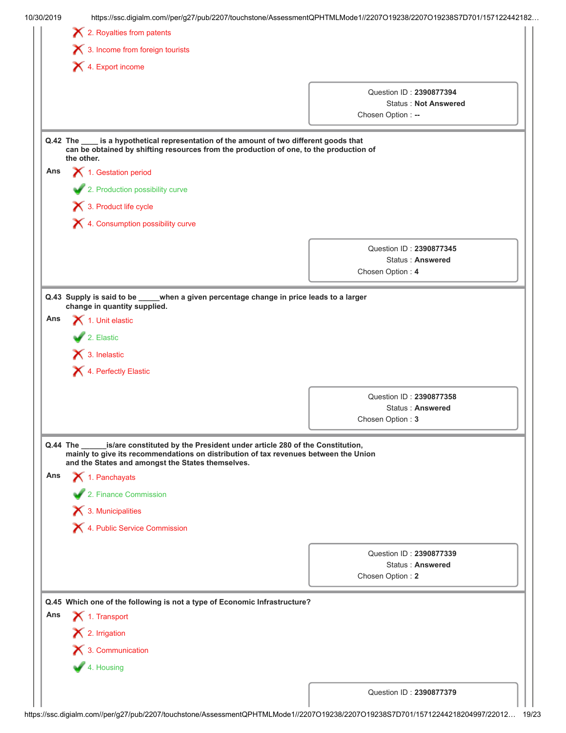|          |                                                                                                                                                                                                                                     | https://ssc.digialm.com//per/g27/pub/2207/touchstone/AssessmentQPHTMLMode1//2207O19238/2207O19238S7D701/157122442182 |
|----------|-------------------------------------------------------------------------------------------------------------------------------------------------------------------------------------------------------------------------------------|----------------------------------------------------------------------------------------------------------------------|
|          | 2. Royalties from patents                                                                                                                                                                                                           |                                                                                                                      |
|          | 3. Income from foreign tourists                                                                                                                                                                                                     |                                                                                                                      |
|          | 4. Export income                                                                                                                                                                                                                    |                                                                                                                      |
|          |                                                                                                                                                                                                                                     | Question ID: 2390877394                                                                                              |
|          |                                                                                                                                                                                                                                     | <b>Status: Not Answered</b>                                                                                          |
|          |                                                                                                                                                                                                                                     | Chosen Option: --                                                                                                    |
| Q.42 The | is a hypothetical representation of the amount of two different goods that<br>can be obtained by shifting resources from the production of one, to the production of<br>the other.                                                  |                                                                                                                      |
| Ans      | 1. Gestation period                                                                                                                                                                                                                 |                                                                                                                      |
|          | 2. Production possibility curve                                                                                                                                                                                                     |                                                                                                                      |
|          | 3. Product life cycle                                                                                                                                                                                                               |                                                                                                                      |
|          | X 4. Consumption possibility curve                                                                                                                                                                                                  |                                                                                                                      |
|          |                                                                                                                                                                                                                                     |                                                                                                                      |
|          |                                                                                                                                                                                                                                     | Question ID: 2390877345<br><b>Status: Answered</b>                                                                   |
|          |                                                                                                                                                                                                                                     | Chosen Option: 4                                                                                                     |
|          |                                                                                                                                                                                                                                     |                                                                                                                      |
|          | when a given percentage change in price leads to a larger<br>Q.43 Supply is said to be _____<br>change in quantity supplied.                                                                                                        |                                                                                                                      |
| Ans      | 1. Unit elastic                                                                                                                                                                                                                     |                                                                                                                      |
|          | 2. Elastic                                                                                                                                                                                                                          |                                                                                                                      |
|          | $\blacktriangleright$ 3. Inelastic                                                                                                                                                                                                  |                                                                                                                      |
|          | X 4. Perfectly Elastic                                                                                                                                                                                                              |                                                                                                                      |
|          |                                                                                                                                                                                                                                     |                                                                                                                      |
|          |                                                                                                                                                                                                                                     | Question ID: 2390877358<br>Status: Answered                                                                          |
|          |                                                                                                                                                                                                                                     | Chosen Option: 3                                                                                                     |
|          |                                                                                                                                                                                                                                     |                                                                                                                      |
|          | is/are constituted by the President under article 280 of the Constitution,<br>Q.44 The<br>mainly to give its recommendations on distribution of tax revenues between the Union<br>and the States and amongst the States themselves. |                                                                                                                      |
| Ans      | $\blacktriangleright$ 1. Panchayats                                                                                                                                                                                                 |                                                                                                                      |
|          |                                                                                                                                                                                                                                     |                                                                                                                      |
|          |                                                                                                                                                                                                                                     |                                                                                                                      |
|          | 2. Finance Commission                                                                                                                                                                                                               |                                                                                                                      |
|          | $\blacktriangleright$ 3. Municipalities                                                                                                                                                                                             |                                                                                                                      |
|          | X 4. Public Service Commission                                                                                                                                                                                                      |                                                                                                                      |
|          |                                                                                                                                                                                                                                     | Question ID: 2390877339                                                                                              |
|          |                                                                                                                                                                                                                                     | Status: Answered                                                                                                     |
|          |                                                                                                                                                                                                                                     | Chosen Option: 2                                                                                                     |
|          | Q.45 Which one of the following is not a type of Economic Infrastructure?                                                                                                                                                           |                                                                                                                      |
| Ans      | 1. Transport                                                                                                                                                                                                                        |                                                                                                                      |
|          |                                                                                                                                                                                                                                     |                                                                                                                      |
|          | $\mathsf{\times}$ 2. Irrigation                                                                                                                                                                                                     |                                                                                                                      |
|          | $\bigtimes$ 3. Communication                                                                                                                                                                                                        |                                                                                                                      |
|          | 4. Housing                                                                                                                                                                                                                          |                                                                                                                      |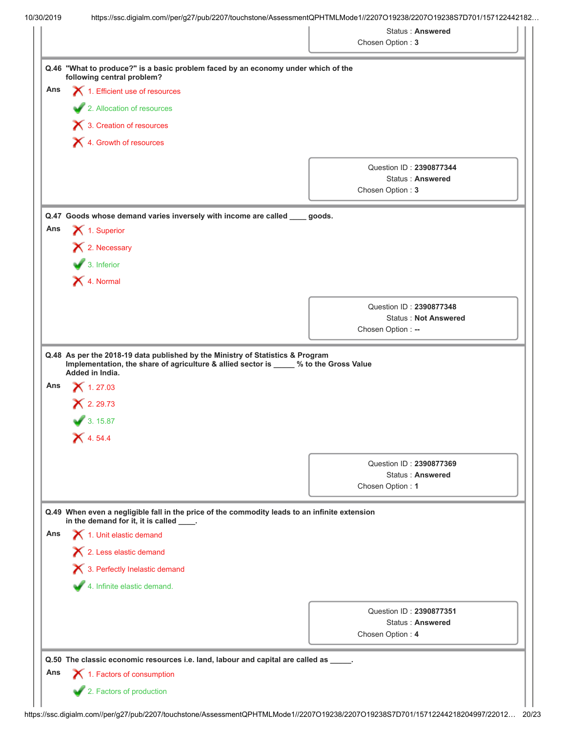|     |                                                                                                                                           |                   | <b>Status: Answered</b>                                |
|-----|-------------------------------------------------------------------------------------------------------------------------------------------|-------------------|--------------------------------------------------------|
|     |                                                                                                                                           | Chosen Option: 3  |                                                        |
|     | Q.46 "What to produce?" is a basic problem faced by an economy under which of the<br>following central problem?                           |                   |                                                        |
| Ans | 1. Efficient use of resources                                                                                                             |                   |                                                        |
|     | 2. Allocation of resources                                                                                                                |                   |                                                        |
|     | 3. Creation of resources                                                                                                                  |                   |                                                        |
|     | X 4. Growth of resources                                                                                                                  |                   |                                                        |
|     |                                                                                                                                           |                   |                                                        |
|     |                                                                                                                                           |                   | Question ID: 2390877344                                |
|     |                                                                                                                                           | Chosen Option: 3  | <b>Status: Answered</b>                                |
|     |                                                                                                                                           |                   |                                                        |
|     | Q.47 Goods whose demand varies inversely with income are called ____ goods.                                                               |                   |                                                        |
| Ans | X 1. Superior                                                                                                                             |                   |                                                        |
|     | X 2. Necessary                                                                                                                            |                   |                                                        |
|     | $\bullet$ 3. Inferior                                                                                                                     |                   |                                                        |
|     | X 4. Normal                                                                                                                               |                   |                                                        |
|     |                                                                                                                                           |                   |                                                        |
|     |                                                                                                                                           |                   | Question ID: 2390877348<br><b>Status: Not Answered</b> |
|     |                                                                                                                                           | Chosen Option: -- |                                                        |
|     |                                                                                                                                           |                   |                                                        |
| Ans | $X$ 1.27.03<br>$X$ 2.29.73<br>3.15.87                                                                                                     |                   |                                                        |
|     | $X$ 4.54.4                                                                                                                                |                   |                                                        |
|     |                                                                                                                                           |                   | Question ID: 2390877369                                |
|     |                                                                                                                                           |                   | <b>Status: Answered</b>                                |
|     |                                                                                                                                           | Chosen Option: 1  |                                                        |
|     | Q.49 When even a negligible fall in the price of the commodity leads to an infinite extension<br>in the demand for it, it is called ____. |                   |                                                        |
| Ans | 1. Unit elastic demand                                                                                                                    |                   |                                                        |
|     | 2. Less elastic demand                                                                                                                    |                   |                                                        |
|     | 3. Perfectly Inelastic demand                                                                                                             |                   |                                                        |
|     | 4. Infinite elastic demand.                                                                                                               |                   |                                                        |
|     |                                                                                                                                           |                   |                                                        |
|     |                                                                                                                                           |                   | Question ID: 2390877351                                |
|     |                                                                                                                                           |                   | Status: Answered                                       |
|     |                                                                                                                                           | Chosen Option: 4  |                                                        |
|     | Q.50 The classic economic resources i.e. land, labour and capital are called as _____.                                                    |                   |                                                        |
| Ans | 1. Factors of consumption                                                                                                                 |                   |                                                        |
|     | 2. Factors of production                                                                                                                  |                   |                                                        |
|     |                                                                                                                                           |                   |                                                        |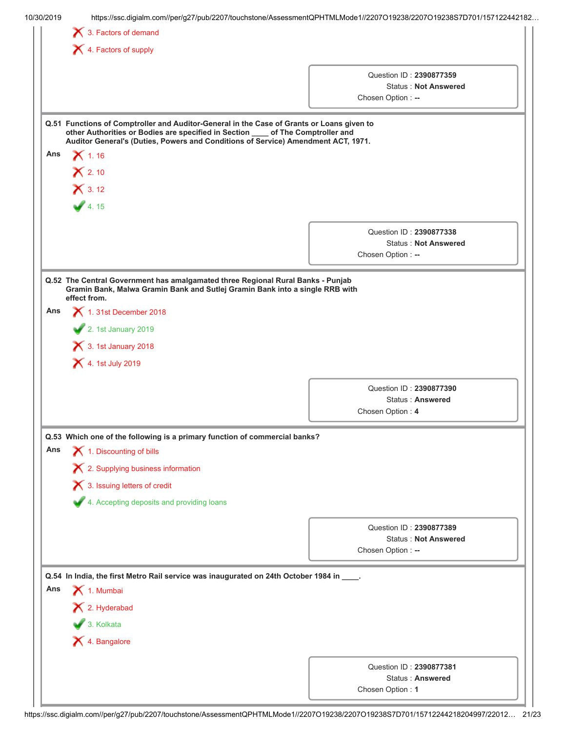| 10/30/2019 |                                                                                                                                                                                                                                                                   | https://ssc.digialm.com//per/g27/pub/2207/touchstone/AssessmentQPHTMLMode1//2207O19238/2207O19238S7D701/157122442182 |  |  |  |  |
|------------|-------------------------------------------------------------------------------------------------------------------------------------------------------------------------------------------------------------------------------------------------------------------|----------------------------------------------------------------------------------------------------------------------|--|--|--|--|
|            | 3. Factors of demand                                                                                                                                                                                                                                              |                                                                                                                      |  |  |  |  |
|            | $\blacktriangleright$ 4. Factors of supply                                                                                                                                                                                                                        |                                                                                                                      |  |  |  |  |
|            |                                                                                                                                                                                                                                                                   |                                                                                                                      |  |  |  |  |
|            |                                                                                                                                                                                                                                                                   | Question ID: 2390877359<br><b>Status: Not Answered</b>                                                               |  |  |  |  |
|            |                                                                                                                                                                                                                                                                   | Chosen Option: --                                                                                                    |  |  |  |  |
|            |                                                                                                                                                                                                                                                                   |                                                                                                                      |  |  |  |  |
|            | Q.51 Functions of Comptroller and Auditor-General in the Case of Grants or Loans given to<br>other Authorities or Bodies are specified in Section ___ of The Comptroller and<br>Auditor General's (Duties, Powers and Conditions of Service) Amendment ACT, 1971. |                                                                                                                      |  |  |  |  |
| Ans        | $\boldsymbol{\times}$ 1.16                                                                                                                                                                                                                                        |                                                                                                                      |  |  |  |  |
|            | $\mathsf{\approx}$ 2.10                                                                                                                                                                                                                                           |                                                                                                                      |  |  |  |  |
|            |                                                                                                                                                                                                                                                                   |                                                                                                                      |  |  |  |  |
|            | $X$ 3.12                                                                                                                                                                                                                                                          |                                                                                                                      |  |  |  |  |
|            | 4.15                                                                                                                                                                                                                                                              |                                                                                                                      |  |  |  |  |
|            |                                                                                                                                                                                                                                                                   | Question ID: 2390877338                                                                                              |  |  |  |  |
|            |                                                                                                                                                                                                                                                                   | <b>Status: Not Answered</b>                                                                                          |  |  |  |  |
|            |                                                                                                                                                                                                                                                                   | Chosen Option: --                                                                                                    |  |  |  |  |
|            |                                                                                                                                                                                                                                                                   |                                                                                                                      |  |  |  |  |
|            | Q.52 The Central Government has amalgamated three Regional Rural Banks - Punjab<br>Gramin Bank, Malwa Gramin Bank and Sutlej Gramin Bank into a single RRB with<br>effect from.                                                                                   |                                                                                                                      |  |  |  |  |
| Ans        | 1. 31st December 2018                                                                                                                                                                                                                                             |                                                                                                                      |  |  |  |  |
|            | 2. 1st January 2019                                                                                                                                                                                                                                               |                                                                                                                      |  |  |  |  |
|            | $\blacktriangleright$ 3. 1st January 2018                                                                                                                                                                                                                         |                                                                                                                      |  |  |  |  |
|            |                                                                                                                                                                                                                                                                   |                                                                                                                      |  |  |  |  |
|            | 4. 1st July 2019                                                                                                                                                                                                                                                  |                                                                                                                      |  |  |  |  |
|            |                                                                                                                                                                                                                                                                   | Question ID: 2390877390                                                                                              |  |  |  |  |
|            |                                                                                                                                                                                                                                                                   | Status: Answered                                                                                                     |  |  |  |  |
|            |                                                                                                                                                                                                                                                                   | Chosen Option: 4                                                                                                     |  |  |  |  |
|            |                                                                                                                                                                                                                                                                   |                                                                                                                      |  |  |  |  |
| Ans        | Q.53 Which one of the following is a primary function of commercial banks?                                                                                                                                                                                        |                                                                                                                      |  |  |  |  |
|            | 1. Discounting of bills                                                                                                                                                                                                                                           |                                                                                                                      |  |  |  |  |
|            | X 2. Supplying business information                                                                                                                                                                                                                               |                                                                                                                      |  |  |  |  |
|            | X 3. Issuing letters of credit                                                                                                                                                                                                                                    |                                                                                                                      |  |  |  |  |
|            | 4. Accepting deposits and providing loans                                                                                                                                                                                                                         |                                                                                                                      |  |  |  |  |
|            |                                                                                                                                                                                                                                                                   |                                                                                                                      |  |  |  |  |
|            |                                                                                                                                                                                                                                                                   | Question ID: 2390877389                                                                                              |  |  |  |  |
|            |                                                                                                                                                                                                                                                                   | <b>Status: Not Answered</b>                                                                                          |  |  |  |  |
|            |                                                                                                                                                                                                                                                                   |                                                                                                                      |  |  |  |  |
|            |                                                                                                                                                                                                                                                                   | Chosen Option: --                                                                                                    |  |  |  |  |
|            | Q.54 In India, the first Metro Rail service was inaugurated on 24th October 1984 in ____.                                                                                                                                                                         |                                                                                                                      |  |  |  |  |
|            |                                                                                                                                                                                                                                                                   |                                                                                                                      |  |  |  |  |
|            | 1. Mumbai                                                                                                                                                                                                                                                         |                                                                                                                      |  |  |  |  |
| Ans        | X 2. Hyderabad                                                                                                                                                                                                                                                    |                                                                                                                      |  |  |  |  |
|            | $\bigvee$ 3. Kolkata                                                                                                                                                                                                                                              |                                                                                                                      |  |  |  |  |
|            |                                                                                                                                                                                                                                                                   |                                                                                                                      |  |  |  |  |
|            | X 4. Bangalore                                                                                                                                                                                                                                                    |                                                                                                                      |  |  |  |  |
|            |                                                                                                                                                                                                                                                                   | Question ID: 2390877381                                                                                              |  |  |  |  |
|            |                                                                                                                                                                                                                                                                   | Status: Answered<br>Chosen Option: 1                                                                                 |  |  |  |  |

https://ssc.digialm.com//per/g27/pub/2207/touchstone/AssessmentQPHTMLMode1//2207O19238/2207O19238S7D701/15712244218204997/22012… 21/23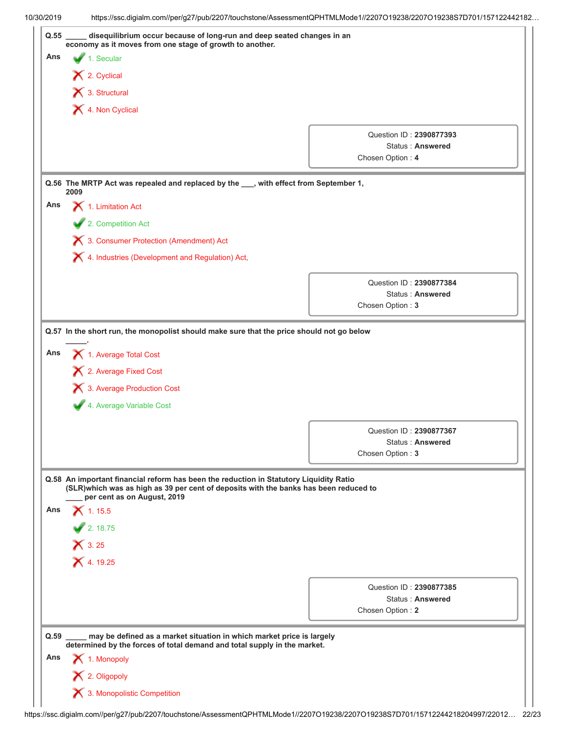|      |                                                                                                                                                                                                                                                                                 | https://ssc.digialm.com//per/g27/pub/2207/touchstone/AssessmentQPHTMLMode1//2207O19238/2207O19238S7D701/157122442182 |
|------|---------------------------------------------------------------------------------------------------------------------------------------------------------------------------------------------------------------------------------------------------------------------------------|----------------------------------------------------------------------------------------------------------------------|
|      | disequilibrium occur because of long-run and deep seated changes in an<br>economy as it moves from one stage of growth to another.                                                                                                                                              |                                                                                                                      |
| Ans  | 1. Secular                                                                                                                                                                                                                                                                      |                                                                                                                      |
|      | $\blacktriangleright$ 2. Cyclical                                                                                                                                                                                                                                               |                                                                                                                      |
|      | 3. Structural                                                                                                                                                                                                                                                                   |                                                                                                                      |
|      | 4. Non Cyclical                                                                                                                                                                                                                                                                 |                                                                                                                      |
|      |                                                                                                                                                                                                                                                                                 |                                                                                                                      |
|      |                                                                                                                                                                                                                                                                                 | Question ID: 2390877393                                                                                              |
|      |                                                                                                                                                                                                                                                                                 | Status: Answered<br>Chosen Option: 4                                                                                 |
|      |                                                                                                                                                                                                                                                                                 |                                                                                                                      |
|      | Q.56 The MRTP Act was repealed and replaced by the ___, with effect from September 1,<br>2009                                                                                                                                                                                   |                                                                                                                      |
| Ans  | 1. Limitation Act                                                                                                                                                                                                                                                               |                                                                                                                      |
|      | 2. Competition Act                                                                                                                                                                                                                                                              |                                                                                                                      |
|      | 3. Consumer Protection (Amendment) Act                                                                                                                                                                                                                                          |                                                                                                                      |
|      | X 4. Industries (Development and Regulation) Act,                                                                                                                                                                                                                               |                                                                                                                      |
|      |                                                                                                                                                                                                                                                                                 |                                                                                                                      |
|      |                                                                                                                                                                                                                                                                                 | Question ID: 2390877384<br><b>Status: Answered</b>                                                                   |
|      |                                                                                                                                                                                                                                                                                 | Chosen Option: 3                                                                                                     |
|      | 1. Average Total Cost<br>X 2. Average Fixed Cost                                                                                                                                                                                                                                |                                                                                                                      |
|      | 3. Average Production Cost                                                                                                                                                                                                                                                      |                                                                                                                      |
|      | 4. Average Variable Cost                                                                                                                                                                                                                                                        |                                                                                                                      |
|      |                                                                                                                                                                                                                                                                                 | Question ID: 2390877367                                                                                              |
|      |                                                                                                                                                                                                                                                                                 | Status: Answered                                                                                                     |
|      |                                                                                                                                                                                                                                                                                 | Chosen Option: 3                                                                                                     |
| Ans  | Q.58 An important financial reform has been the reduction in Statutory Liquidity Ratio<br>(SLR)which was as high as 39 per cent of deposits with the banks has been reduced to<br>per cent as on August, 2019<br>$X$ 1.15.5<br>2.18.75<br>$\mathsf{\times}$ 3.25<br>$X$ 4.19.25 |                                                                                                                      |
|      |                                                                                                                                                                                                                                                                                 |                                                                                                                      |
|      |                                                                                                                                                                                                                                                                                 | Question ID: 2390877385<br><b>Status: Answered</b>                                                                   |
|      |                                                                                                                                                                                                                                                                                 | Chosen Option: 2                                                                                                     |
| Q.59 | may be defined as a market situation in which market price is largely<br>determined by the forces of total demand and total supply in the market.                                                                                                                               |                                                                                                                      |
| Ans  | 1. Monopoly                                                                                                                                                                                                                                                                     |                                                                                                                      |
|      | X 2. Oligopoly                                                                                                                                                                                                                                                                  |                                                                                                                      |